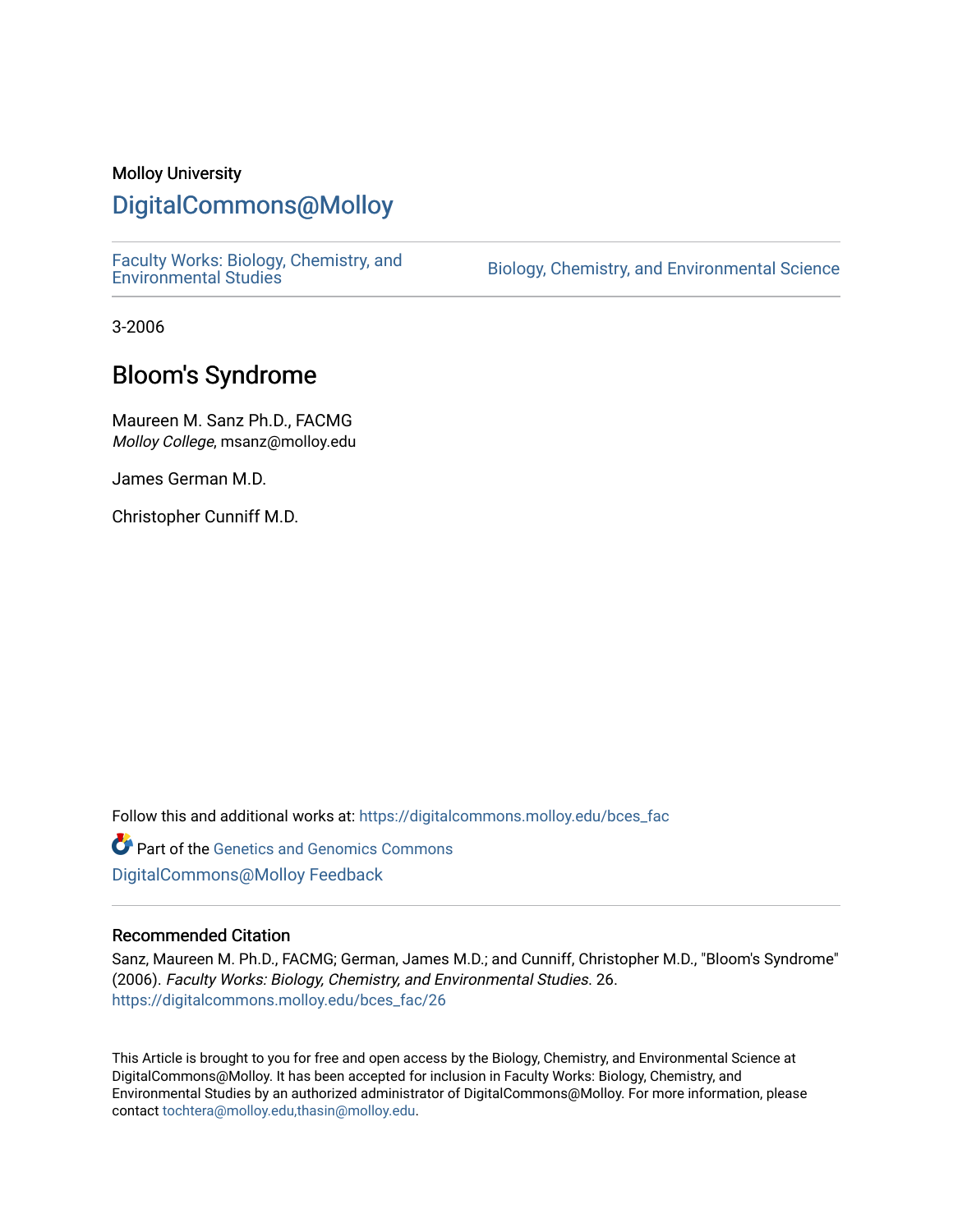# Molloy University

# [DigitalCommons@Molloy](https://digitalcommons.molloy.edu/)

[Faculty Works: Biology, Chemistry, and](https://digitalcommons.molloy.edu/bces_fac) 

Biology, Chemistry, and Environmental Science

3-2006

# Bloom's Syndrome

Maureen M. Sanz Ph.D., FACMG Molloy College, msanz@molloy.edu

James German M.D.

Christopher Cunniff M.D.

Follow this and additional works at: [https://digitalcommons.molloy.edu/bces\\_fac](https://digitalcommons.molloy.edu/bces_fac?utm_source=digitalcommons.molloy.edu%2Fbces_fac%2F26&utm_medium=PDF&utm_campaign=PDFCoverPages)

Part of the [Genetics and Genomics Commons](https://network.bepress.com/hgg/discipline/27?utm_source=digitalcommons.molloy.edu%2Fbces_fac%2F26&utm_medium=PDF&utm_campaign=PDFCoverPages) [DigitalCommons@Molloy Feedback](https://molloy.libwizard.com/f/dcfeedback)

### Recommended Citation

Sanz, Maureen M. Ph.D., FACMG; German, James M.D.; and Cunniff, Christopher M.D., "Bloom's Syndrome" (2006). Faculty Works: Biology, Chemistry, and Environmental Studies. 26. [https://digitalcommons.molloy.edu/bces\\_fac/26](https://digitalcommons.molloy.edu/bces_fac/26?utm_source=digitalcommons.molloy.edu%2Fbces_fac%2F26&utm_medium=PDF&utm_campaign=PDFCoverPages) 

This Article is brought to you for free and open access by the Biology, Chemistry, and Environmental Science at DigitalCommons@Molloy. It has been accepted for inclusion in Faculty Works: Biology, Chemistry, and Environmental Studies by an authorized administrator of DigitalCommons@Molloy. For more information, please contact [tochtera@molloy.edu,thasin@molloy.edu.](mailto:tochtera@molloy.edu,thasin@molloy.edu)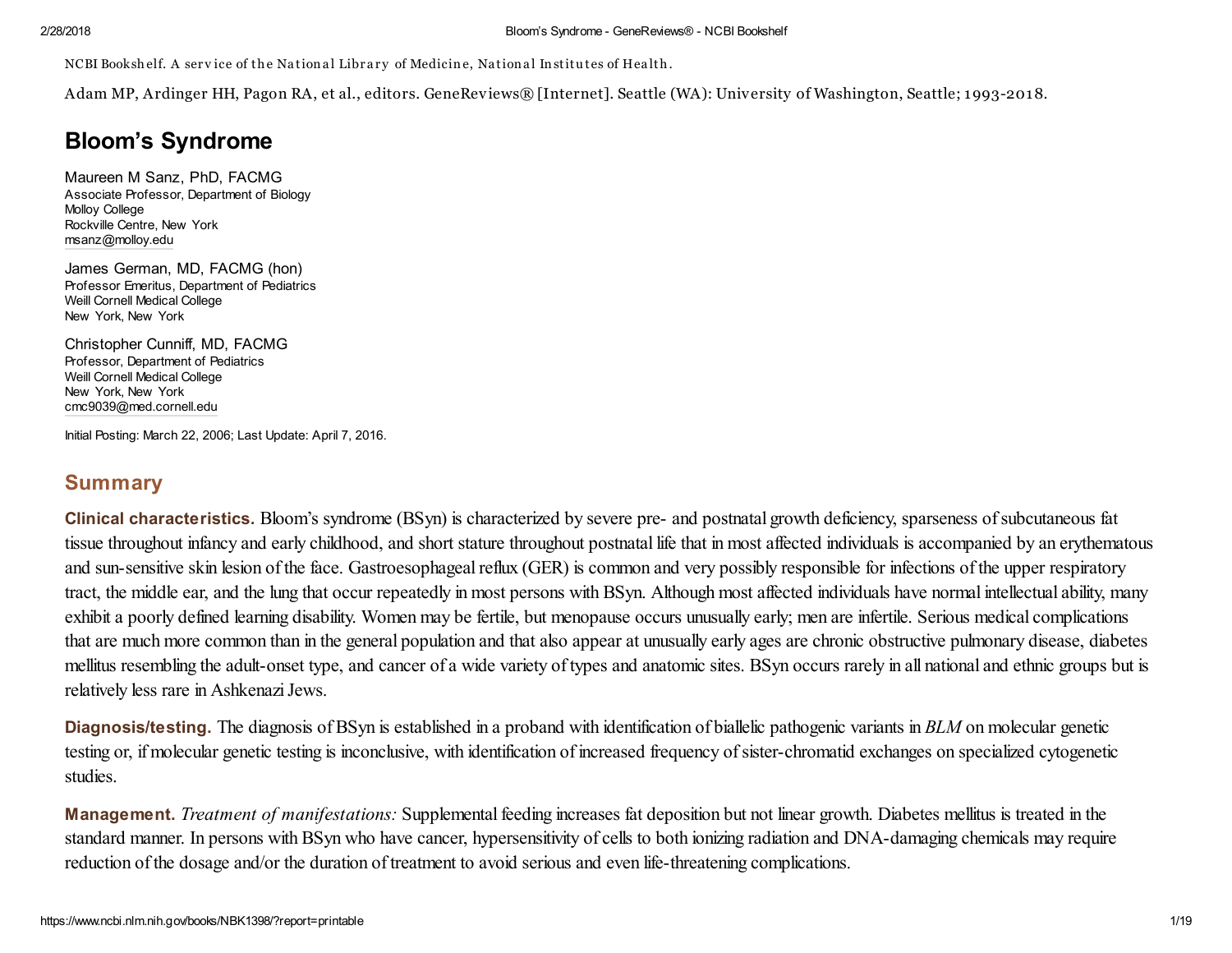NCBI Bookshelf. A service of the National Library of Medicine, National Institutes of Health.

Adam MP, Ardinger HH, Pagon RA, et al., editors. GeneReviews® [Internet]. Seattle (WA): University of Washington, Seattle; 1993-2018.

# Bloom's Syndrome

Maureen M Sanz, PhD, FACMG Associate Professor, Department of Biology Molloy College Rockville Centre, New York [msanz@molloy.edu](mailto:dev@null)

James German, MD, FACMG (hon) Professor Emeritus, Department of Pediatrics Weill Cornell Medical College New York, New York

Christopher Cunniff, MD, FACMG Professor, Department of Pediatrics Weill Cornell Medical College New York, New York [cmc9039@med.cornell.edu](mailto:dev@null)

Initial Posting: March 22, 2006; Last Update: April 7, 2016.

# **Summary**

Clinical characteristics. Bloom's syndrome (BSyn) is characterized by severe pre- and postnatal growth deficiency, sparseness of subcutaneous fat tissue throughout infancy and early childhood, and short stature throughout postnatal life that in most affected individuals is accompanied by an erythematous and sun-sensitive skin lesion of the face. Gastroesophageal reflux (GER) is common and very possibly responsible for infections of the upper respiratory tract, the middle ear, and the lung that occur repeatedly in most persons with BSyn. Although most affected individuals have normal intellectual ability, many exhibit a poorly defined learning disability. Women may be fertile, but menopause occurs unusually early; men are infertile. Serious medical complications that are much more common than in the general population and that also appear at unusually early ages are chronic obstructive pulmonary disease, diabetes mellitus resembling the adult-onset type, and cancer of a wide variety of types and anatomic sites. BSyn occurs rarely in all national and ethnic groups but is relatively less rare in Ashkenazi Jews.

Diagnosis/testing. The diagnosis of BSyn is established in a proband with identification of biallelic pathogenic variants in *BLM* on molecular genetic testing or, if molecular genetic testing is inconclusive, with identification of increased frequency of sister-chromatid exchanges on specialized cytogenetic studies.

Management. *Treatment of manifestations:* Supplemental feeding increases fat deposition but not linear growth. Diabetes mellitus is treated in the standard manner. In persons with BSyn who have cancer, hypersensitivity of cells to both ionizing radiation and DNA-damaging chemicals may require reduction of the dosage and/or the duration of treatment to avoid serious and even life-threatening complications.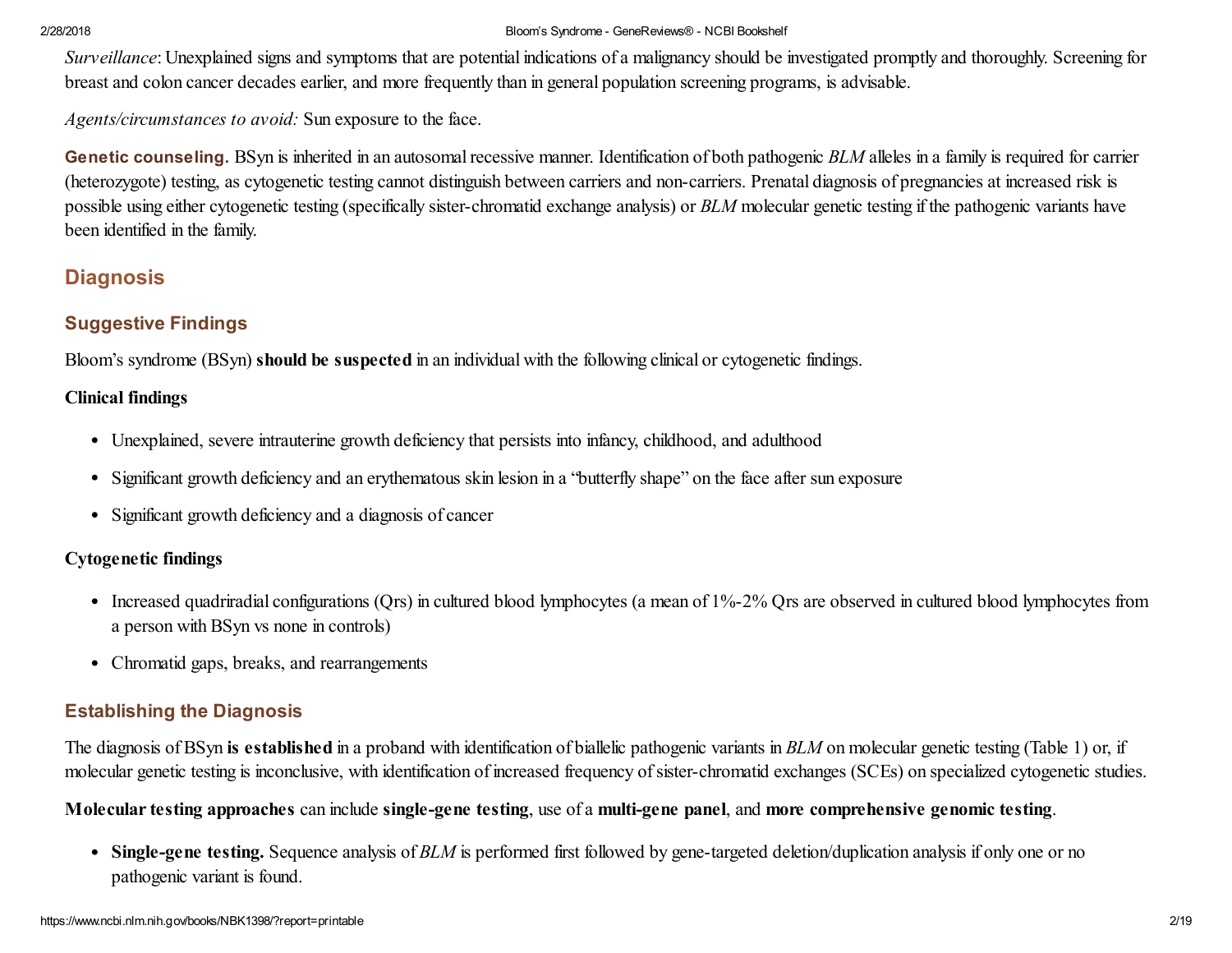*Surveillance*: Unexplained signs and symptoms that are potential indications of a malignancy should be investigated promptly and thoroughly. Screening for breast and colon cancer decades earlier, and more frequently than in general population screening programs, is advisable.

*Agents/circumstances to avoid:* Sun exposure to the face.

Genetic counseling. BSyn is inherited in an autosomal recessive manner. Identification of both pathogenic *BLM* alleles in a family is required for carrier (heterozygote) testing, as cytogenetic testing cannot distinguish between carriers and non-carriers. Prenatal diagnosis of pregnancies at increased risk is possible using either cytogenetic testing (specifically sister-chromatid exchange analysis) or *BLM* molecular genetic testing if the pathogenic variants have been identified in the family.

# **Diagnosis**

# Suggestive Findings

Bloom's syndrome (BSyn) should be suspected in an individual with the following clinical or cytogenetic findings.

# Clinical findings

- Unexplained, severe intrauterine growth deficiency that persists into infancy, childhood, and adulthood
- Significant growth deficiency and an erythematous skin lesion in a "butterfly shape" on the face after sun exposure
- Significant growth deficiency and a diagnosis of cancer

# Cytogenetic findings

- Increased quadriradial configurations (Qrs) in cultured blood lymphocytes (a mean of 1%-2% Qrs are observed in cultured blood lymphocytes from a person with BSyn vs none in controls)
- Chromatid gaps, breaks, and rearrangements

# Establishing the Diagnosis

The diagnosis of BSyn is established in a proband with identification of biallelic pathogenic variants in *BLM* on molecular genetic testing [\(Table](https://www.ncbi.nlm.nih.gov/books/NBK1398/table/bloom.T.molecular_genetic_testing_used_i/?report=objectonly) 1) or, if molecular genetic testing is inconclusive, with identification of increased frequency ofsister-chromatid exchanges (SCEs) on specialized cytogenetic studies.

Molecular testing approaches can include single-gene testing, use of a multi-gene panel, and more comprehensive genomic testing.

• Single-gene testing. Sequence analysis of *BLM* is performed first followed by gene-targeted deletion/duplication analysis if only one or no pathogenic variant is found.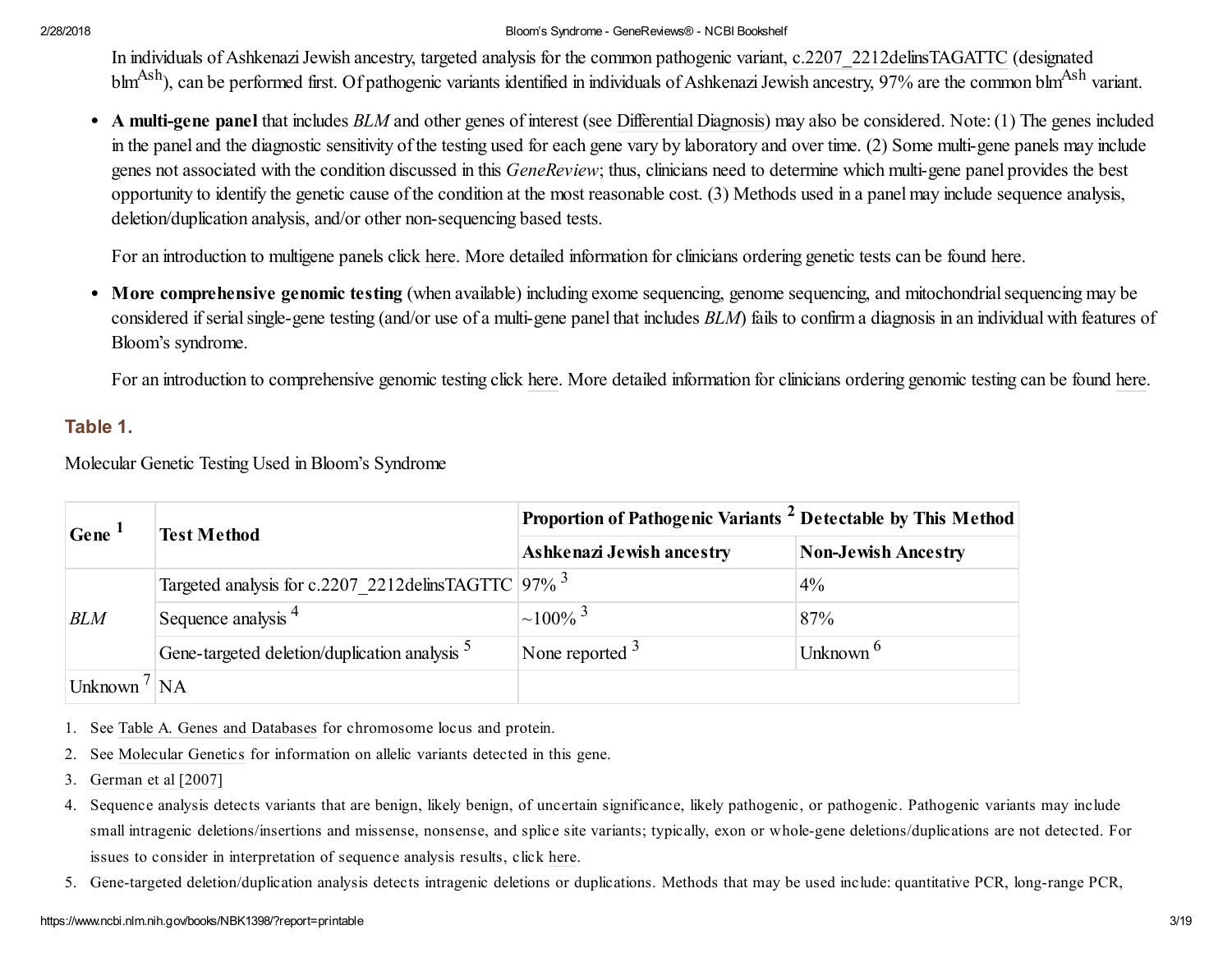In individuals of Ashkenazi Jewish ancestry, targeted analysis for the common pathogenic variant, c.2207 2212delinsTAGATTC (designated blm<sup>Ash</sup>), can be performed first. Of pathogenic variants identified in individuals of Ashkenazi Jewish ancestry, 97% are the common blm<sup>Ash</sup> variant.

A multi-gene panel that includes *BLM* and other genes of interest (see [Differential](#page-7-0) Diagnosis) may also be considered. Note:(1) The genes included in the panel and the diagnostic sensitivity of the testing used for each gene vary by laboratory and over time. (2) Some multi-gene panels may include genes not associated with the condition discussed in this *GeneReview*; thus, clinicians need to determine which multi-gene panel provides the best opportunity to identify the genetic cause of the condition at the most reasonable cost. (3) Methods used in a panel may include sequence analysis, deletion/duplication analysis, and/or other non-sequencing based tests.

For an introduction to multigene panels click [here.](https://www.ncbi.nlm.nih.gov/books/n/gene/app5/#app5.Multigene_Panels) More detailed information for clinicians ordering genetic tests can be found [here.](https://www.ncbi.nlm.nih.gov/books/n/gene/app5/#app5.Multigene_Panels_FAQs)

• More comprehensive genomic testing (when available) including exome sequencing, genome sequencing, and mitochondrial sequencing may be considered if serial single-gene testing (and/or use of a multi-gene panel that includes *BLM*) fails to confirm a diagnosis in an individual with features of Bloom's syndrome.

For an introduction to comprehensive genomic testing click [here.](https://www.ncbi.nlm.nih.gov/books/n/gene/app5/#app5.Comprehensive_Genomic_Testing) More detailed information for clinicians ordering genomic testing can be found [here.](https://www.ncbi.nlm.nih.gov/books/n/gene/app5/#app5.Comprehensive_Genomic_Testing_1)

## Table 1.

Molecular Genetic Testing Used in Bloom's Syndrome

| Gene <sup>1</sup>        | <b>Test Method</b>                                       | Proportion of Pathogenic Variants <sup>2</sup> Detectable by This Method |                            |  |
|--------------------------|----------------------------------------------------------|--------------------------------------------------------------------------|----------------------------|--|
|                          |                                                          | Ashkenazi Jewish ancestry                                                | <b>Non-Jewish Ancestry</b> |  |
| <b>BLM</b>               | Targeted analysis for c.2207_2212delinsTAGTTC 97% 3      |                                                                          | $4\%$                      |  |
|                          | Sequence analysis $4$                                    | $\sim$ 100% <sup>3</sup>                                                 | 87%                        |  |
|                          | Gene-targeted deletion/duplication analysis <sup>5</sup> | None reported $\frac{3}{2}$                                              | Unknown <sup>6</sup>       |  |
| Unknown $\frac{1}{1}$ NA |                                                          |                                                                          |                            |  |

- 1. See Table A. Genes and [Databases](https://www.ncbi.nlm.nih.gov/books/NBK1398/#bloom.molgen.TA) for chromosome locus and protein.
- 2. See [Molecular](#page-13-0) Genetics for information on allelic variants detected in this gene.
- 3. German et al [2007]
- 4. Sequence analysis detects variants that are benign, likely benign, of uncertain significance, likely pathogenic, or pathogenic. Pathogenic variants may include small intragenic deletions/insertions and missense, nonsense, and splice site variants; typically, exon or whole-gene deletions/duplications are not detected. For issues to consider in interpretation of sequence analysis results, click [here.](https://www.ncbi.nlm.nih.gov/books/n/gene/app2/)
- 5. Gene-targeted deletion/duplication analysis detects intragenic deletions or duplications. Methods that may be used include: quantitative PCR, long-range PCR,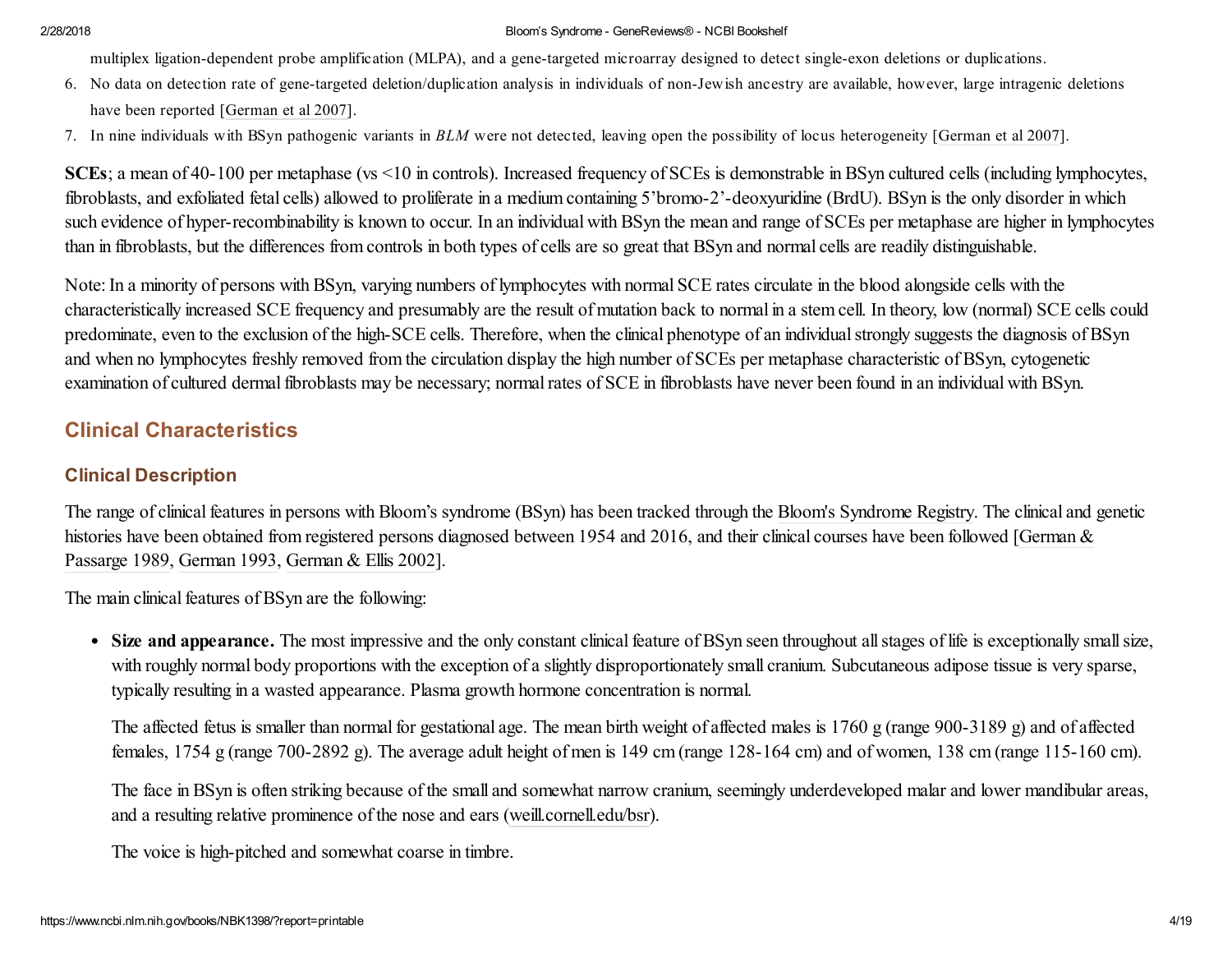multiplex ligation-dependent probe amplification (MLPA), and a gene-targeted microarray designed to detect single-exon deletions or duplications.

- 6. No data on detection rate of gene-targeted deletion/duplication analysis in individuals of non-Jewish ancestry are available, however, large intragenic deletions have been reported [German et al 2007].
- 7. In nine individuals with BSyn pathogenic variants in *BLM* were not detected, leaving open the possibility of locus heterogeneity [German et al 2007].

SCEs; a mean of 40-100 per metaphase (vs <10 in controls). Increased frequency of SCEs is demonstrable in BSyn cultured cells (including lymphocytes, fibroblasts, and exfoliated fetal cells) allowed to proliferate in a medium containing 5'bromo-2'-deoxyuridine (BrdU). BSyn is the only disorder in which such evidence of hyper-recombinability is known to occur. In an individual with BSyn the mean and range of SCEs per metaphase are higher in lymphocytes than in fibroblasts, but the differences from controls in both types of cells are so great that BSyn and normal cells are readily distinguishable.

Note:In a minority of persons with BSyn, varying numbers of lymphocytes with normal SCE rates circulate in the blood alongside cells with the characteristically increased SCE frequency and presumably are the result of mutation back to normal in a stem cell. In theory, low (normal) SCE cells could predominate, even to the exclusion of the high-SCE cells. Therefore, when the clinical phenotype of an individual strongly suggests the diagnosis of BSyn and when no lymphocytes freshly removed from the circulation display the high number of SCEs per metaphase characteristic of BSyn, cytogenetic examination of cultured dermal fibroblasts may be necessary; normal rates of SCE in fibroblasts have never been found in an individual with BSyn.

# Clinical Characteristics

# Clinical Description

The range of clinical features in persons with Bloom's syndrome (BSyn) has been tracked through the Bloom's [Syndrome](http://weill.cornell.edu/bsr/) Registry. The clinical and genetic histories have been obtained from registered persons diagnosed between 1954 and 2016, and their clinical courses have been followed [German & Passarge 1989, German 1993, German & Ellis 2002].

The main clinical features of BSyn are the following:

• Size and appearance. The most impressive and the only constant clinical feature of BSyn seen throughout all stages of life is exceptionally small size, with roughly normal body proportions with the exception of a slightly disproportionately small cranium. Subcutaneous adipose tissue is very sparse, typically resulting in a wasted appearance. Plasma growth hormone concentration is normal.

The affected fetus is smaller than normal for gestational age. The mean birth weight of affected males is 1760 g (range 900-3189 g) and of affected females, 1754 g (range 700-2892 g). The average adult height of men is 149 cm (range 128-164 cm) and of women, 138 cm (range 115-160 cm).

The face in BSyn is often striking because of the small and somewhat narrow cranium, seemingly underdeveloped malar and lower mandibular areas, and a resulting relative prominence of the nose and ears ([weill.cornell.edu/bsr\)](http://weill.cornell.edu/bsr/).

The voice is high-pitched and somewhat coarse in timbre.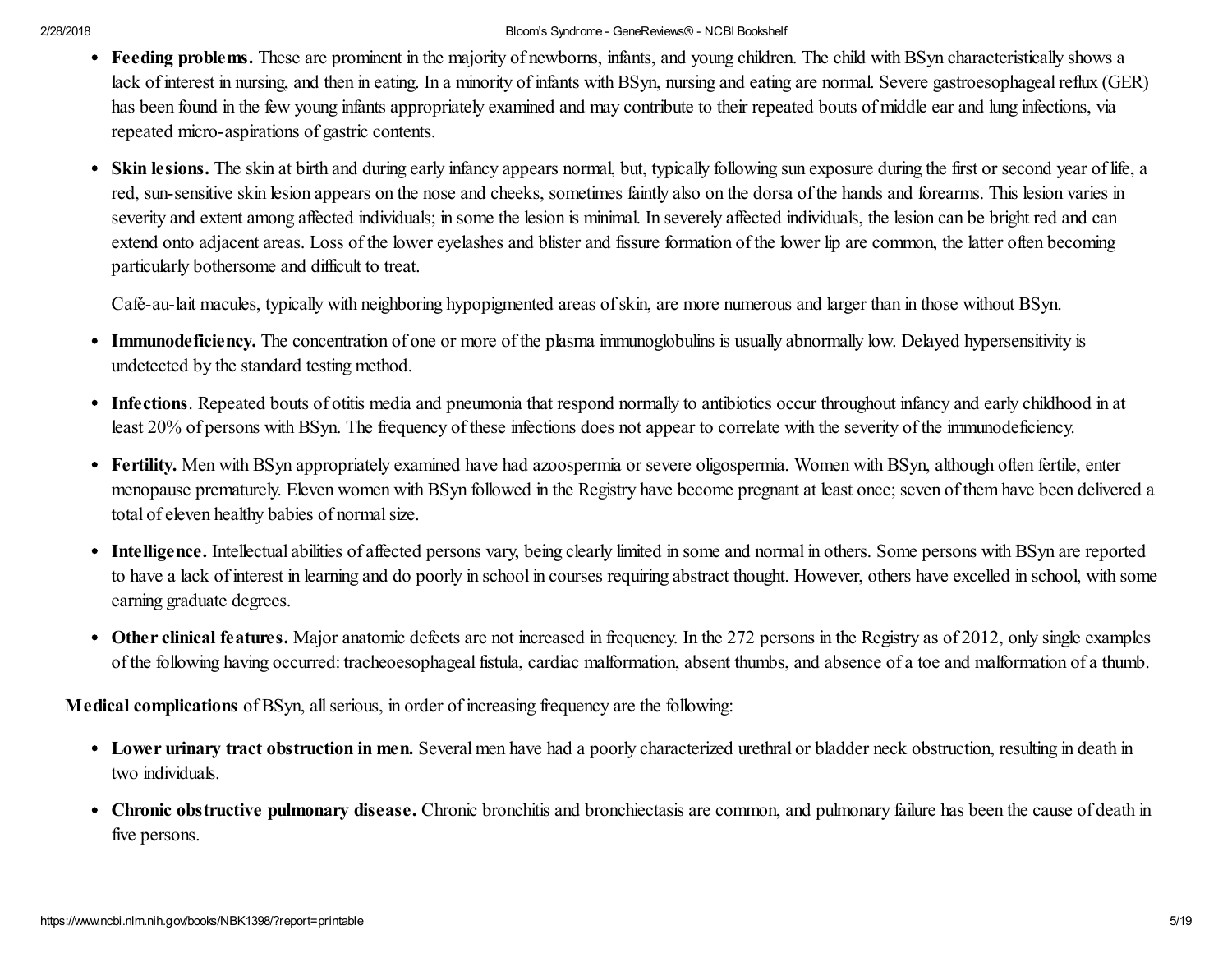- Feeding problems. These are prominent in the majority of newborns, infants, and young children. The child with BSyn characteristically shows a lack of interest in nursing, and then in eating. In a minority of infants with BSyn, nursing and eating are normal. Severe gastroesophageal reflux (GER) has been found in the few young infants appropriately examined and may contribute to their repeated bouts of middle ear and lung infections, via repeated micro-aspirations of gastric contents.
- Skin lesions. The skin at birth and during early infancy appears normal, but, typically following sun exposure during the first or second year of life, a red, sun-sensitive skin lesion appears on the nose and cheeks, sometimes faintly also on the dorsa of the hands and forearms. This lesion varies in severity and extent among affected individuals; in some the lesion is minimal. In severely affected individuals, the lesion can be bright red and can extend onto adjacent areas. Loss of the lower eyelashes and blister and fissure formation of the lower lip are common, the latter often becoming particularly bothersome and difficult to treat.

Café-au-lait macules, typically with neighboring hypopigmented areas ofskin, are more numerous and larger than in those without BSyn.

- Immunodeficiency. The concentration of one or more of the plasma immunoglobulins is usually abnormally low. Delayed hypersensitivity is undetected by the standard testing method.
- Infections. Repeated bouts of otitis media and pneumonia that respond normally to antibiotics occur throughout infancy and early childhood in at least 20% of persons with BSyn. The frequency of these infections does not appear to correlate with the severity of the immunodeficiency.
- Fertility. Men with BSyn appropriately examined have had azoospermia or severe oligospermia. Women with BSyn, although often fertile, enter menopause prematurely. Eleven women with BSyn followed in the Registry have become pregnant at least once; seven of them have been delivered a total of eleven healthy babies of normalsize.
- Intelligence. Intellectual abilities of affected persons vary, being clearly limited in some and normal in others. Some persons with BSyn are reported to have a lack of interest in learning and do poorly in school in courses requiring abstract thought. However, others have excelled in school, with some earning graduate degrees.
- Other clinical features. Major anatomic defects are not increased in frequency. In the 272 persons in the Registry as of 2012, only single examples of the following having occurred: tracheoesophagealfistula, cardiac malformation, absent thumbs, and absence of a toe and malformation of a thumb.

Medical complications of BSyn, all serious, in order of increasing frequency are the following:

- Lower urinary tract obstruction in men. Several men have had a poorly characterized urethral or bladder neck obstruction, resulting in death in two individuals.
- Chronic obstructive pulmonary disease. Chronic bronchitis and bronchiectasis are common, and pulmonary failure has been the cause of death in five persons.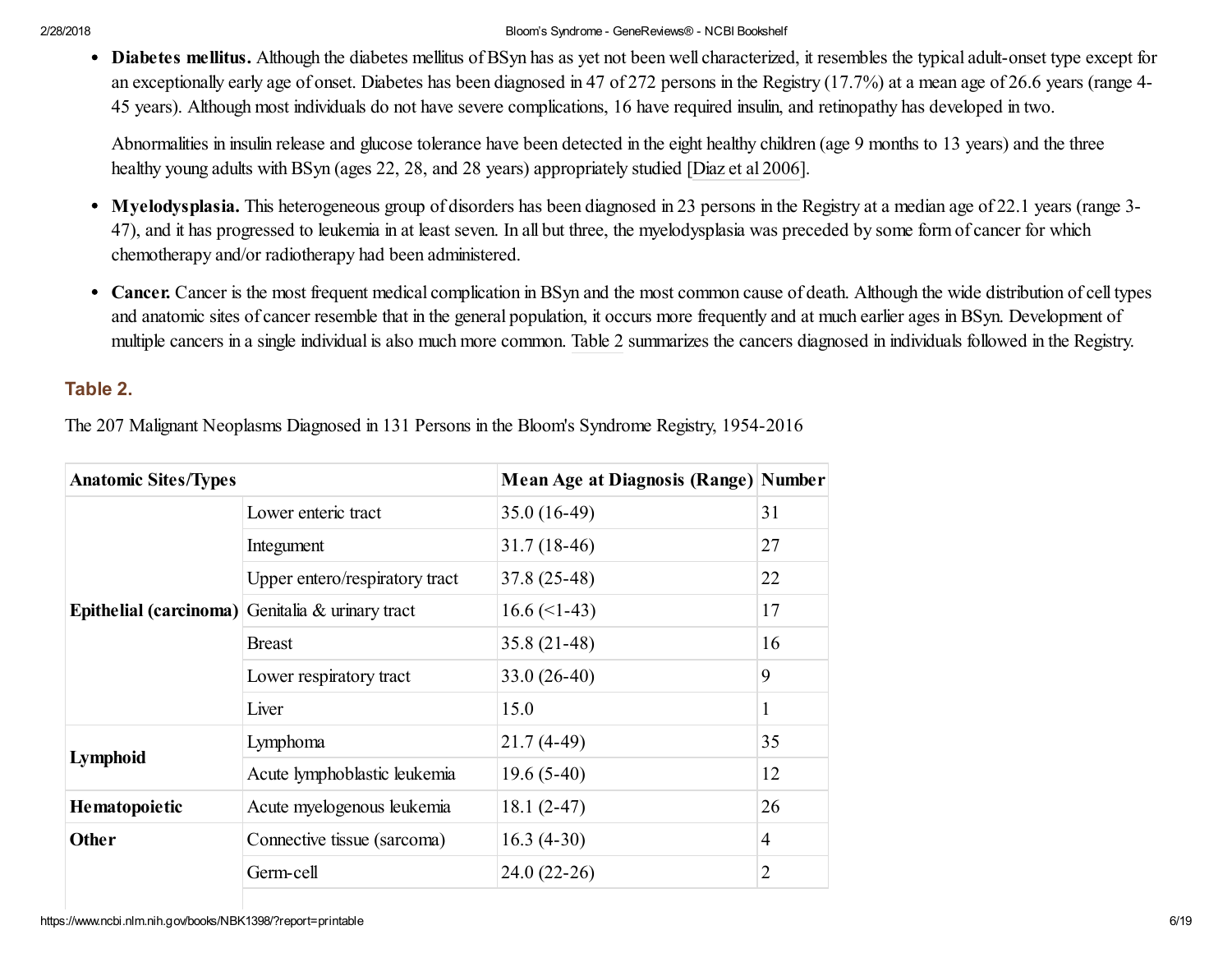Diabetes mellitus. Although the diabetes mellitus of BSyn has as yet not been well characterized, it resembles the typical adult-onset type except for an exceptionally early age of onset. Diabetes has been diagnosed in 47 of 272 persons in the Registry (17.7%) at a mean age of 26.6 years (range 4- 45 years). Although most individuals do not have severe complications, 16 have required insulin, and retinopathy has developed in two.

Abnormalities in insulin release and glucose tolerance have been detected in the eight healthy children (age 9 months to 13 years) and the three healthy young adults with BSyn (ages 22, 28, and 28 years) appropriately studied [Diaz et al 2006].

- Myelodysplasia. This heterogeneous group of disorders has been diagnosed in 23 persons in the Registry at a median age of 22.1 years (range 3- 47), and it has progressed to leukemia in at least seven. In all but three, the myelodysplasia was preceded by some form of cancer for which chemotherapy and/or radiotherapy had been administered.
- Cancer. Cancer is the most frequent medical complication in BSyn and the most common cause of death. Although the wide distribution of cell types and anatomic sites of cancer resemble that in the general population, it occurs more frequently and at much earlier ages in BSyn. Development of multiple cancers in a single individual is also much more common. [Table](https://www.ncbi.nlm.nih.gov/books/NBK1398/table/bloom.T.the_207_malignant_neoplasms_diag/?report=objectonly) 2 summarizes the cancers diagnosed in individuals followed in the Registry.

# Table 2.

The 207 Malignant Neoplasms Diagnosed in 131 Persons in the Bloom's Syndrome Registry, 1954-2016

| <b>Anatomic Sites/Types</b> |                                                  | <b>Mean Age at Diagnosis (Range) Number</b> |                |
|-----------------------------|--------------------------------------------------|---------------------------------------------|----------------|
|                             | Lower enteric tract                              | $35.0(16-49)$                               | 31             |
|                             | Integument                                       | $31.7(18-46)$                               | 27             |
|                             | Upper entero/respiratory tract                   | 37.8 (25-48)                                | 22             |
|                             | Epithelial (carcinoma) Genitalia & urinary tract | $16.6 \left( \leq 1-43 \right)$             | 17             |
|                             | <b>Breast</b>                                    | $35.8(21-48)$                               | 16             |
|                             | Lower respiratory tract                          | $33.0(26-40)$                               | 9              |
|                             | Liver                                            | 15.0                                        | 1              |
|                             | Lymphoma                                         | $21.7(4-49)$                                | 35             |
| Lymphoid                    | Acute lymphoblastic leukemia                     | $19.6(5-40)$                                | 12             |
| Hematopoietic               | Acute myelogenous leukemia                       | $18.1(2-47)$                                | 26             |
| <b>Other</b>                | Connective tissue (sarcoma)                      | $16.3(4-30)$                                | $\overline{4}$ |
|                             | Germ-cell                                        | $24.0(22-26)$                               | $\overline{2}$ |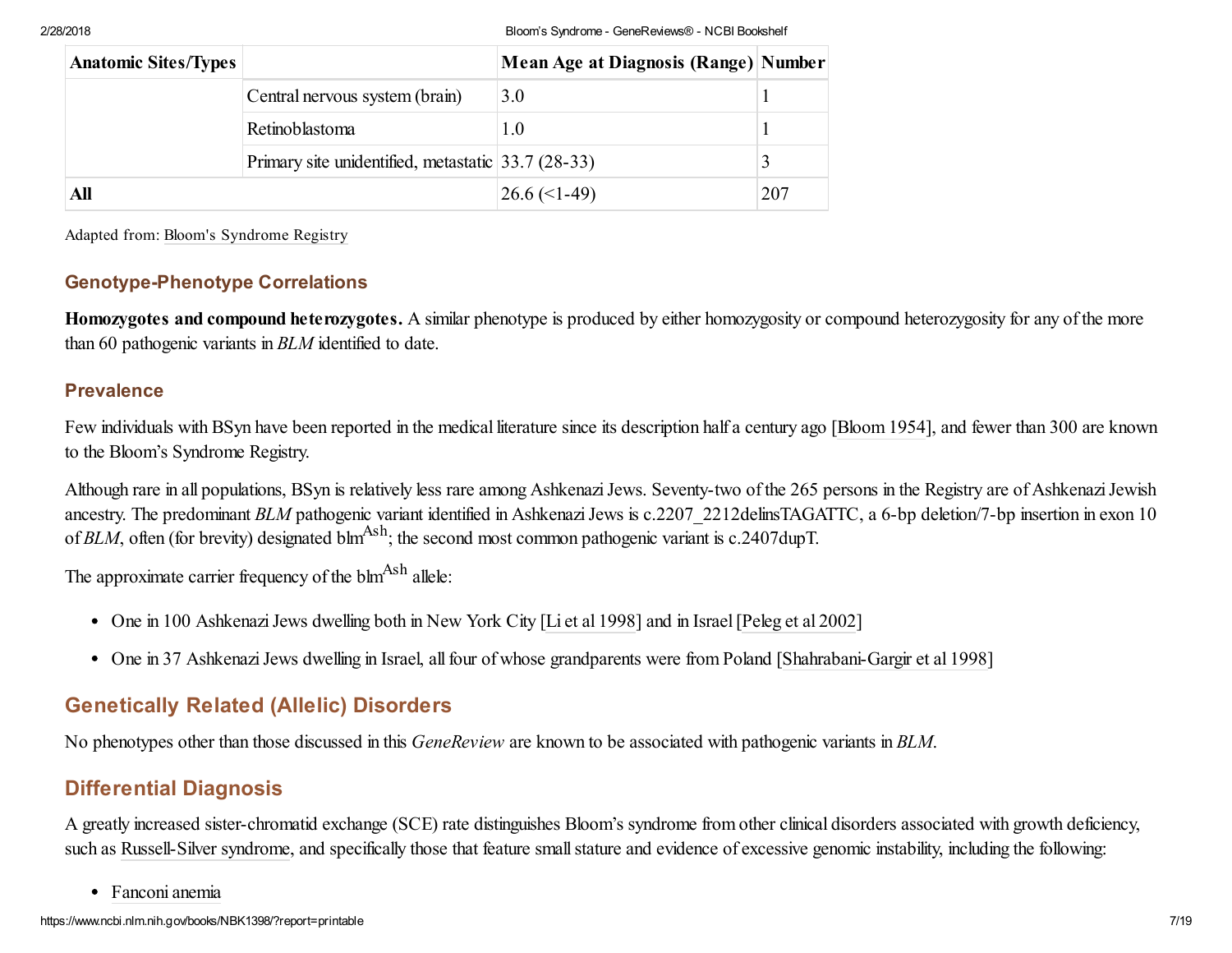| <b>Anatomic Sites/Types</b> |                                                    | <b>Mean Age at Diagnosis (Range) Number</b> |     |
|-----------------------------|----------------------------------------------------|---------------------------------------------|-----|
|                             | Central nervous system (brain)                     | 3.0                                         |     |
|                             | Retinoblastoma                                     | 1.0                                         |     |
|                             | Primary site unidentified, metastatic 33.7 (28-33) |                                             |     |
| All                         |                                                    | $26.6 \left( \leq 1-49 \right)$             | 207 |

Adapted from: Bloom's [Syndrome](http://weill.cornell.edu/bsr/) Registry

# Genotype-Phenotype Correlations

Homozygotes and compound heterozygotes. A similar phenotype is produced by either homozygosity or compound heterozygosity for any of the more than 60 pathogenic variants in *BLM* identified to date.

## Prevalence

Few individuals with BSyn have been reported in the medical literature since its description half a century ago [Bloom 1954], and fewer than 300 are known to the Bloom's Syndrome Registry.

Although rare in all populations, BSyn is relatively less rare among Ashkenazi Jews. Seventy-two of the 265 persons in the Registry are of Ashkenazi Jewish ancestry. The predominant *BLM* pathogenic variant identified in Ashkenazi Jews is c.2207 2212delinsTAGATTC, a 6-bp deletion/7-bp insertion in exon 10 of *BLM*, often (for brevity) designated blm<sup>Ash</sup>; the second most common pathogenic variant is c.2407dupT.

The approximate carrier frequency of the  $\text{blm}^{\text{Ash}}$  allele:

- One in 100 Ashkenazi Jews dwelling both in New York City [Li et al 1998] and in Israel [Peleg et al 2002]
- One in 37 Ashkenazi Jews dwelling in Israel, all four of whose grandparents were from Poland [Shahrabani-Gargir et al 1998]

# Genetically Related (Allelic) Disorders

No phenotypes other than those discussed in this *GeneReview* are known to be associated with pathogenic variants in *BLM*.

# <span id="page-7-0"></span>Differential Diagnosis

A greatly increased sister-chromatid exchange (SCE) rate distinguishes Bloom's syndrome from other clinical disorders associated with growth deficiency, such as [Russell-Silver](https://www.ncbi.nlm.nih.gov/books/n/gene/rss/) syndrome, and specifically those that feature small stature and evidence of excessive genomic instability, including the following:

[Fanconi](https://www.ncbi.nlm.nih.gov/books/n/gene/fa/) anemia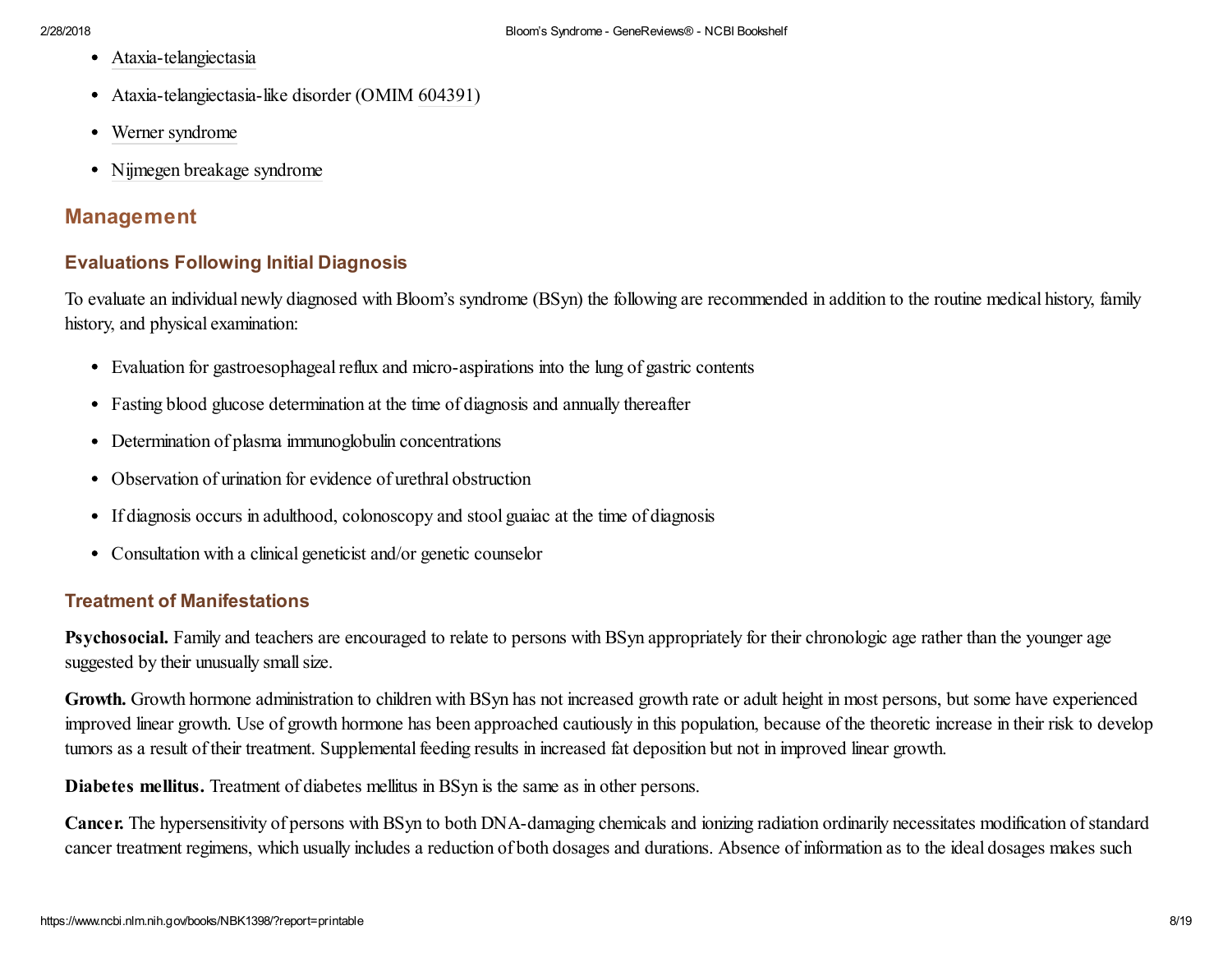- [Ataxia-telangiectasia](https://www.ncbi.nlm.nih.gov/books/n/gene/ataxia-telangiectas/)
- Ataxia-telangiectasia-like disorder (OMIM [604391\)](http://omim.org/entry/604391)
- Werner [syndrome](https://www.ncbi.nlm.nih.gov/books/n/gene/werner/)
- Nijmegen breakage [syndrome](https://www.ncbi.nlm.nih.gov/books/n/gene/nijmegen/)

# Management

# Evaluations Following Initial Diagnosis

To evaluate an individual newly diagnosed with Bloom's syndrome (BSyn) the following are recommended in addition to the routine medical history, family history, and physical examination:

- Evaluation for gastroesophageal reflux and micro-aspirations into the lung of gastric contents
- Fasting blood glucose determination at the time of diagnosis and annually thereafter
- Determination of plasma immunoglobulin concentrations
- Observation of urination for evidence of urethral obstruction
- If diagnosis occurs in adulthood, colonoscopy and stool guaiac at the time of diagnosis
- Consultation with a clinical geneticist and/or genetic counselor

# Treatment of Manifestations

Psychosocial. Family and teachers are encouraged to relate to persons with BSyn appropriately for their chronologic age rather than the younger age suggested by their unusually small size.

Growth. Growth hormone administration to children with BSyn has not increased growth rate or adult height in most persons, but some have experienced improved linear growth. Use of growth hormone has been approached cautiously in this population, because of the theoretic increase in their risk to develop tumors as a result of their treatment. Supplemental feeding results in increased fat deposition but not in improved linear growth.

Diabetes mellitus. Treatment of diabetes mellitus in BSyn is the same as in other persons.

Cancer. The hypersensitivity of persons with BSyn to both DNA-damaging chemicals and ionizing radiation ordinarily necessitates modification ofstandard cancer treatment regimens, which usually includes a reduction of both dosages and durations. Absence of information as to the ideal dosages makes such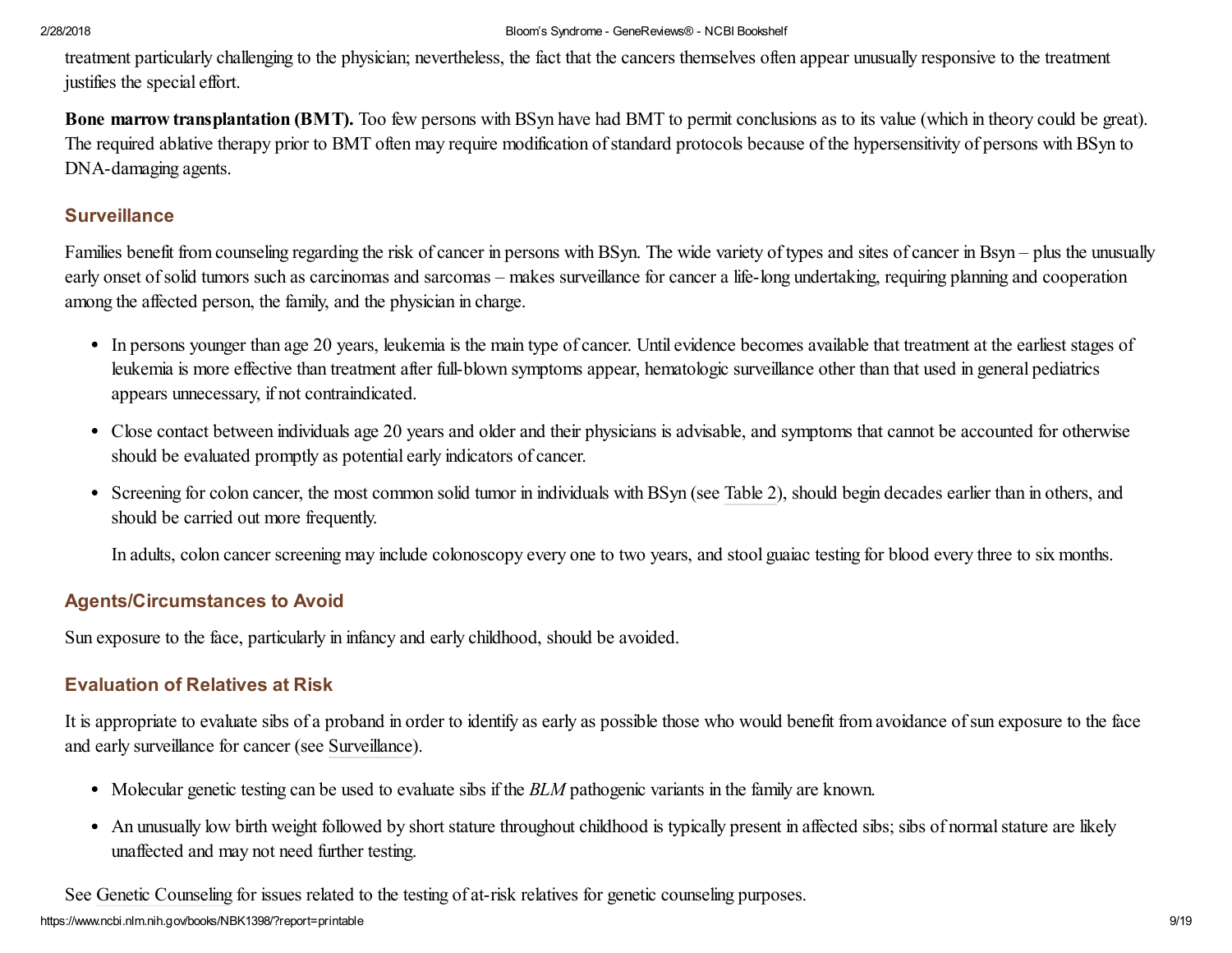treatment particularly challenging to the physician; nevertheless, the fact that the cancers themselves often appear unusually responsive to the treatment justifies the special effort.

Bone marrow transplantation (BMT). Too few persons with BSyn have had BMT to permit conclusions as to its value (which in theory could be great). The required ablative therapy prior to BMT often may require modification of standard protocols because of the hypersensitivity of persons with BSyn to DNA-damaging agents.

# <span id="page-9-0"></span>**Surveillance**

Families benefit from counseling regarding the risk of cancer in persons with BSyn. The wide variety of types and sites of cancer in Bsyn – plus the unusually early onset of solid tumors such as carcinomas and sarcomas – makes surveillance for cancer a life-long undertaking, requiring planning and cooperation among the affected person, the family, and the physician in charge.

- In persons younger than age 20 years, leukemia is the main type of cancer. Until evidence becomes available that treatment at the earliest stages of leukemia is more effective than treatment after full-blown symptoms appear, hematologic surveillance other than that used in general pediatrics appears unnecessary, if not contraindicated.
- Close contact between individuals age 20 years and older and their physicians is advisable, and symptoms that cannot be accounted for otherwise should be evaluated promptly as potential early indicators of cancer.
- Screening for colon cancer, the most common solid tumor in individuals with BSyn (see [Table](https://www.ncbi.nlm.nih.gov/books/NBK1398/table/bloom.T.the_207_malignant_neoplasms_diag/?report=objectonly) 2), should begin decades earlier than in others, and should be carried out more frequently.

In adults, colon cancer screening may include colonoscopy every one to two years, and stool guaiac testing for blood every three to six months.

# Agents/Circumstances to Avoid

Sun exposure to the face, particularly in infancy and early childhood, should be avoided.

# <span id="page-9-1"></span>Evaluation of Relatives at Risk

It is appropriate to evaluate sibs of a proband in order to identify as early as possible those who would benefit from avoidance ofsun exposure to the face and early surveillance for cancer (see [Surveillance](#page-9-0)).

- Molecular genetic testing can be used to evaluate sibs if the *BLM* pathogenic variants in the family are known.
- An unusually low birth weight followed by short stature throughout childhood is typically present in affected sibs; sibs of normal stature are likely unaffected and may not need further testing.

See Genetic [Counseling](#page-11-0) for issues related to the testing of at-risk relatives for genetic counseling purposes.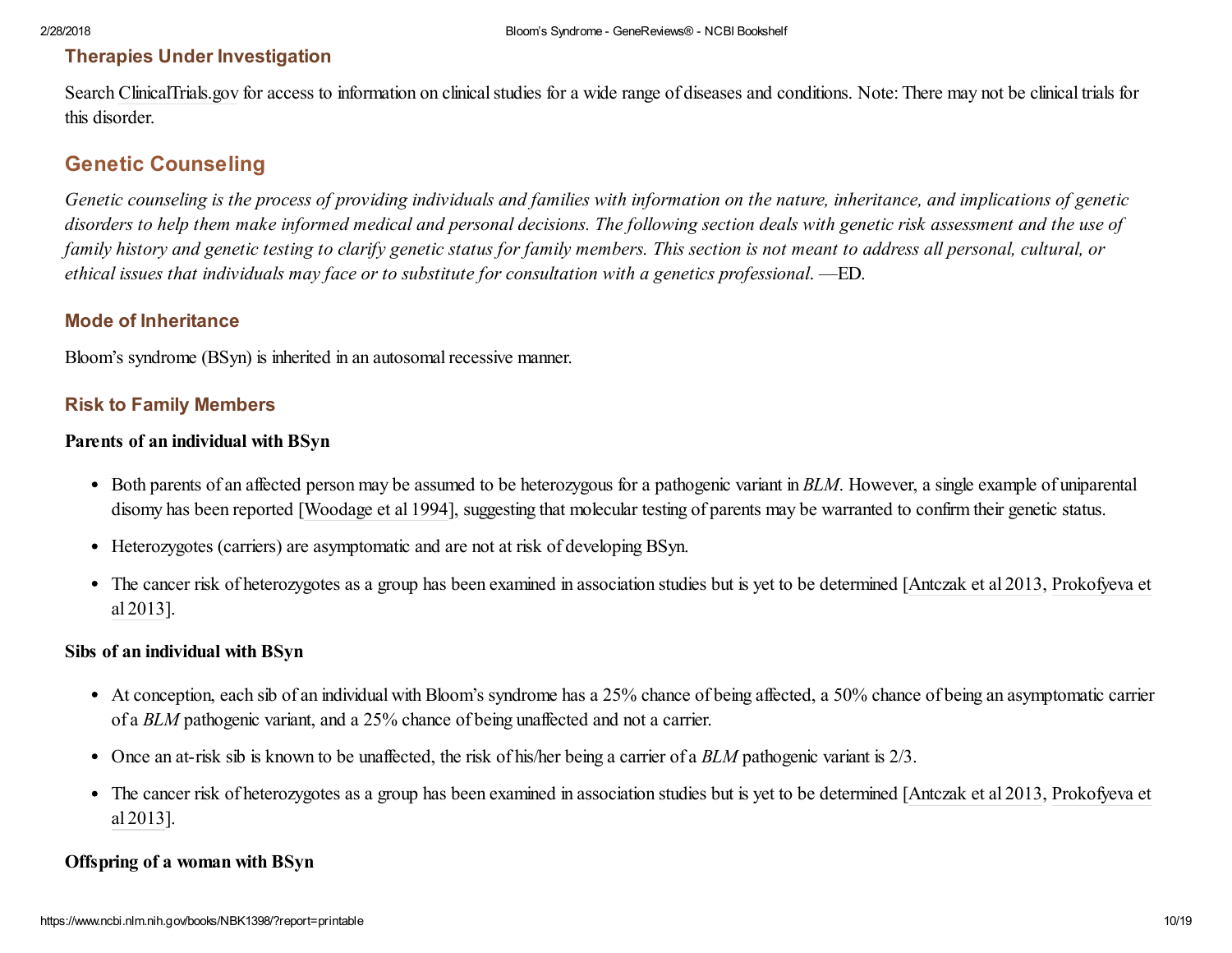# Therapies Under Investigation

Search [ClinicalTrials.gov](http://clinicaltrials.gov/) for access to information on clinical studies for a wide range of diseases and conditions. Note: There may not be clinical trials for this disorder.

# Genetic Counseling

Genetic counseling is the process of providing individuals and families with information on the nature, inheritance, and implications of genetic disorders to help them make informed medical and personal decisions. The following section deals with genetic risk assessment and the use of family history and genetic testing to clarify genetic status for family members. This section is not meant to address all personal, cultural, or *ethical issues that individuals may face or to substitute for consultation with a genetics professional*. —ED.

# Mode of Inheritance

Bloom's syndrome (BSyn) is inherited in an autosomal recessive manner.

## Risk to Family Members

## Parents of an individual with BSyn

- Both parents of an affected person may be assumed to be heterozygous for a pathogenic variant in *BLM*. However, a single example of uniparental disomy has been reported [Woodage et al 1994], suggesting that molecular testing of parents may be warranted to confirm their genetic status.
- Heterozygotes (carriers) are asymptomatic and are not at risk of developing BSyn.
- The cancer risk of heterozygotes as a group has been examined in association studies but is yet to be determined [Antczak et al 2013, Prokofyeva et al 2013].

## Sibs of an individual with BSyn

- At conception, each sib of an individual with Bloom's syndrome has a 25% chance of being affected, a 50% chance of being an asymptomatic carrier of a *BLM* pathogenic variant, and a 25% chance of being unaffected and not a carrier.
- Once an at-risk sib is known to be unaffected, the risk of his/her being a carrier of a *BLM* pathogenic variant is 2/3.
- The cancer risk of heterozygotes as a group has been examined in association studies but is yet to be determined [Antczak et al 2013, Prokofyeva et al 2013].

## Offspring of a woman with BSyn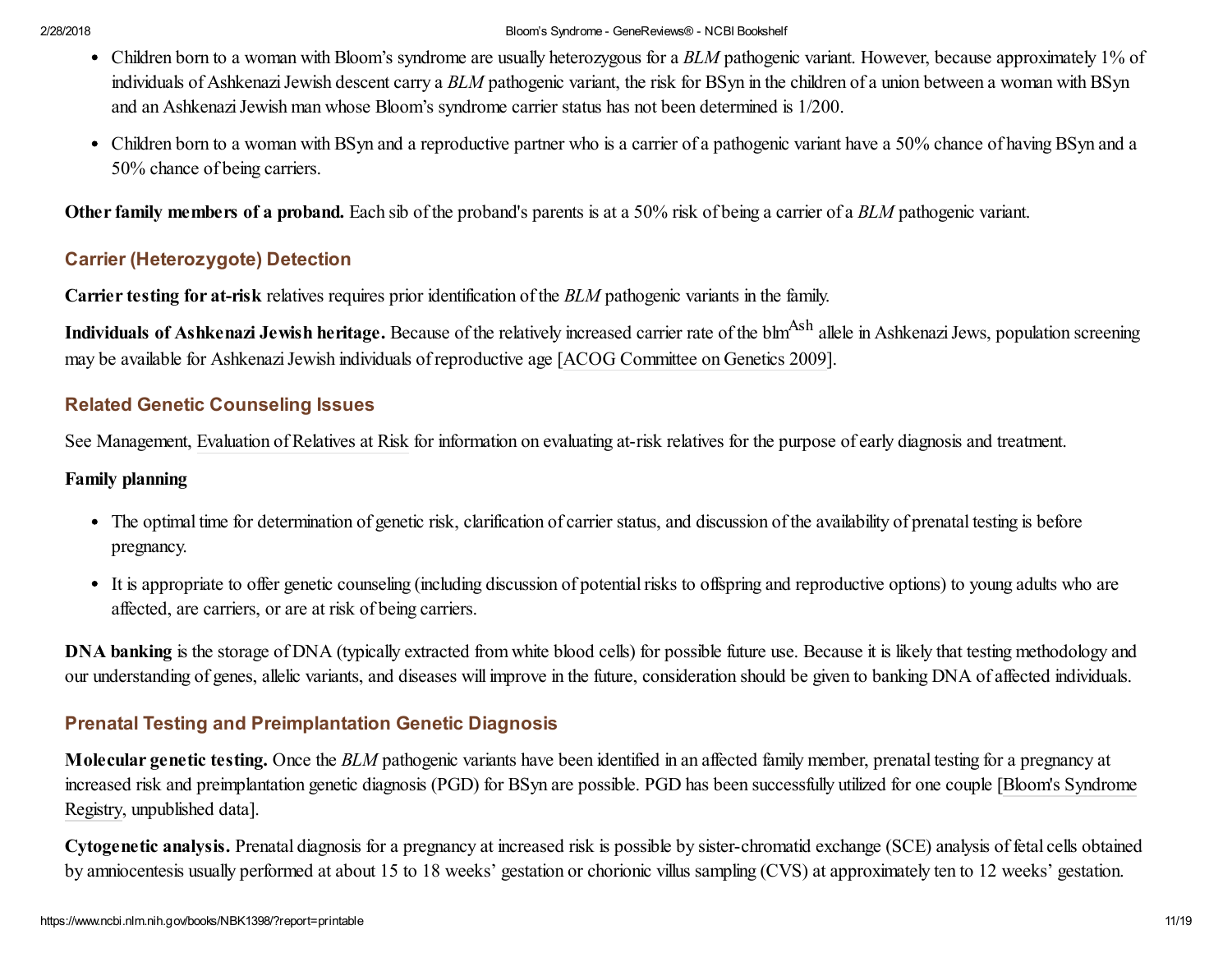- Children born to a woman with Bloom's syndrome are usually heterozygous for a *BLM* pathogenic variant. However, because approximately 1% of individuals of Ashkenazi Jewish descent carry a *BLM* pathogenic variant, the risk for BSyn in the children of a union between a woman with BSyn and an Ashkenazi Jewish man whose Bloom's syndrome carrier status has not been determined is 1/200.
- Children born to a woman with BSyn and a reproductive partner who is a carrier of a pathogenic variant have a 50% chance of having BSyn and a 50% chance of being carriers.

Other family members of a proband. Each sib of the proband's parents is at a 50% risk of being a carrier of a *BLM* pathogenic variant.

# Carrier (Heterozygote) Detection

Carrier testing for at-risk relatives requires prior identification of the *BLM* pathogenic variants in the family.

Individuals of Ashkenazi Jewish heritage. Because of the relatively increased carrier rate of the blm<sup>Ash</sup> allele in Ashkenazi Jews, population screening may be available for Ashkenazi Jewish individuals of reproductive age [ACOG Committee on Genetics 2009].

# <span id="page-11-0"></span>Related Genetic Counseling Issues

See Management, [Evaluation](#page-9-1) of Relatives at Risk for information on evaluating at-risk relatives for the purpose of early diagnosis and treatment.

## Family planning

- The optimal time for determination of genetic risk, clarification of carrier status, and discussion of the availability of prenatal testing is before pregnancy.
- It is appropriate to offer genetic counseling (including discussion of potential risks to offspring and reproductive options) to young adults who are affected, are carriers, or are at risk of being carriers.

DNA banking is the storage of DNA (typically extracted from white blood cells) for possible future use. Because it is likely that testing methodology and our understanding of genes, allelic variants, and diseases will improve in the future, consideration should be given to banking DNA of affected individuals.

# Prenatal Testing and Preimplantation Genetic Diagnosis

Molecular genetic testing. Once the *BLM* pathogenic variants have been identified in an affected family member, prenatal testing for a pregnancy at increased risk and [preimplantation](http://weill.cornell.edu/bsr/) genetic diagnosis (PGD) for BSyn are possible. PGD has been successfully utilized for one couple [Bloom's Syndrome Registry, unpublished data].

Cytogenetic analysis. Prenatal diagnosis for a pregnancy at increased risk is possible by sister-chromatid exchange (SCE) analysis of fetal cells obtained by amniocentesis usually performed at about 15 to 18 weeks' gestation or chorionic villus sampling (CVS) at approximately ten to 12 weeks' gestation.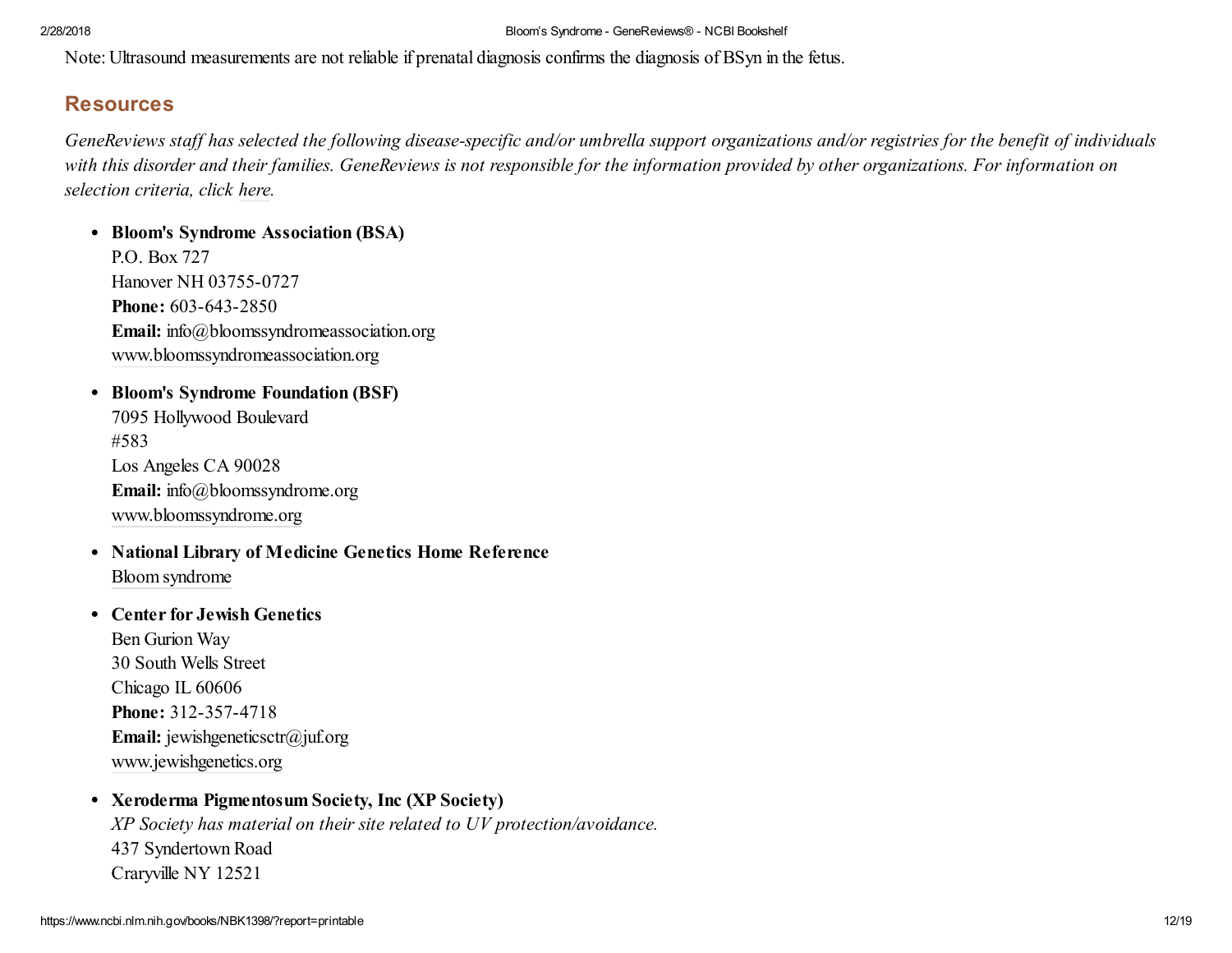Note: Ultrasound measurements are not reliable if prenatal diagnosis confirms the diagnosis of BSyn in the fetus.

# **Resources**

GeneReviews staff has selected the following disease-specific and/or umbrella support organizations and/or registries for the benefit of individuals with this disorder and their families. GeneReviews is not responsible for the information provided by other organizations. For information on *selection criteria, click [here.](https://www.ncbi.nlm.nih.gov/books/n/gene/app4/)*

• Bloom's Syndrome Association (BSA) P.O. Box 727 Hanover NH 03755-0727 Phone: 603-643-2850 Email: info@bloomssyndromeassociation.org [www.bloomssyndromeassociation.org](http://www.bloomssyndromeassociation.org/)

- Bloom's Syndrome Foundation (BSF) 7095 Hollywood Boulevard #583 Los Angeles CA 90028 Email: info@bloomssyndrome.org [www.bloomssyndrome.org](http://www.bloomssyndrome.org/)
- National Library of Medicine Genetics Home Reference Bloom [syndrome](http://ghr.nlm.nih.gov/condition=bloomsyndrome)

## Center for Jewish Genetics

Ben Gurion Way 30 South Wells Street Chicago IL 60606 Phone: 312-357-4718 Email: jewishgeneticsctr@juf.org [www.jewishgenetics.org](http://www.jewishgenetics.org/)

## Xeroderma Pigmentosum Society, Inc (XP Society)

*XP Society has material on their site related to UV protection/avoidance.* 437 Syndertown Road Craryville NY 12521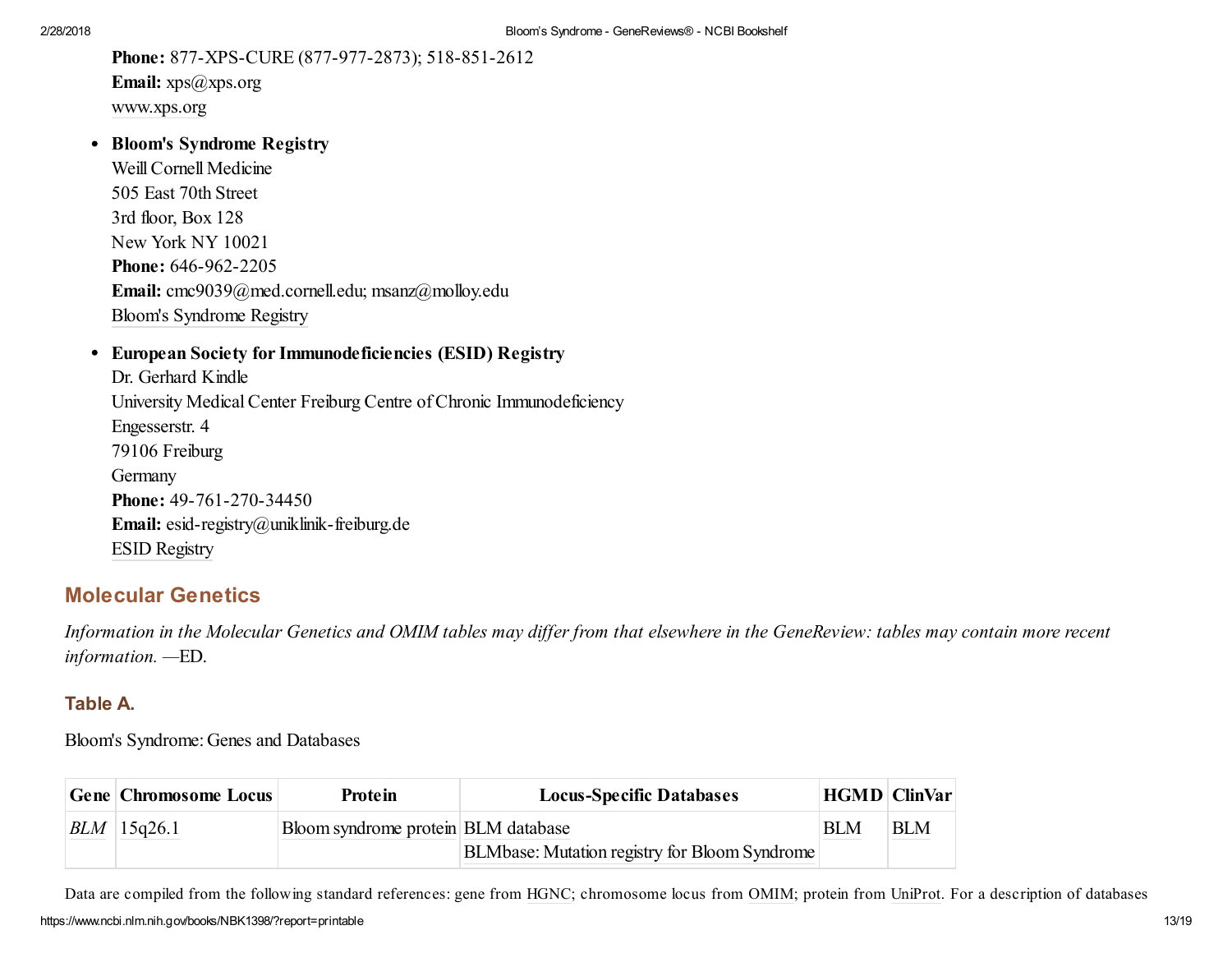Phone: 877-XPS-CURE (877-977-2873); 518-851-2612 Email: xps@xps.org [www.xps.org](http://www.xps.org/)

• Bloom's Syndrome Registry

Weill Cornell Medicine 505 East 70th Street 3rd floor, Box 128 New York NY 10021 Phone: 646-962-2205 Email: cmc9039@med.cornell.edu; msanz@molloy.edu Bloom's [Syndrome](http://med.cornell.edu/bsr) Registry

European Society for Immunodeficiencies (ESID) Registry

Dr. Gerhard Kindle University Medical Center Freiburg Centre of Chronic Immunodeficiency Engesserstr. 4 79106 Freiburg Germany Phone: 49-761-270-34450 Email: esid-registry@uniklinik-freiburg.de ESID [Registry](http://esid.org/Working-Parties/Registry)

# <span id="page-13-0"></span>Molecular Genetics

Information in the Molecular Genetics and OMIM tables may differ from that elsewhere in the GeneReview: tables may contain more recent *information. —*ED.

## Table A.

Bloom's Syndrome: Genes and Databases

| <b>Gene Chromosome Locus</b> | Protein                             | <b>Locus-Specific Databases</b>                      |            | <b>HGMD ClinVar</b> |
|------------------------------|-------------------------------------|------------------------------------------------------|------------|---------------------|
| $BLM$ 15q26.1                | Bloom syndrome protein BLM database |                                                      | <b>BLM</b> | <b>BLM</b>          |
|                              |                                     | <b>BLMbase: Mutation registry for Bloom Syndrome</b> |            |                     |

https://www.ncbi.nlm.nih.gov/books/NBK1398/?report=printable 13/19 Data are compiled from the following standard references: gene from [HGNC](http://www.genenames.org/index.html); chromosome locus from [OMIM](http://www.omim.org/); protein from [UniProt.](http://www.uniprot.org/) For a description of databases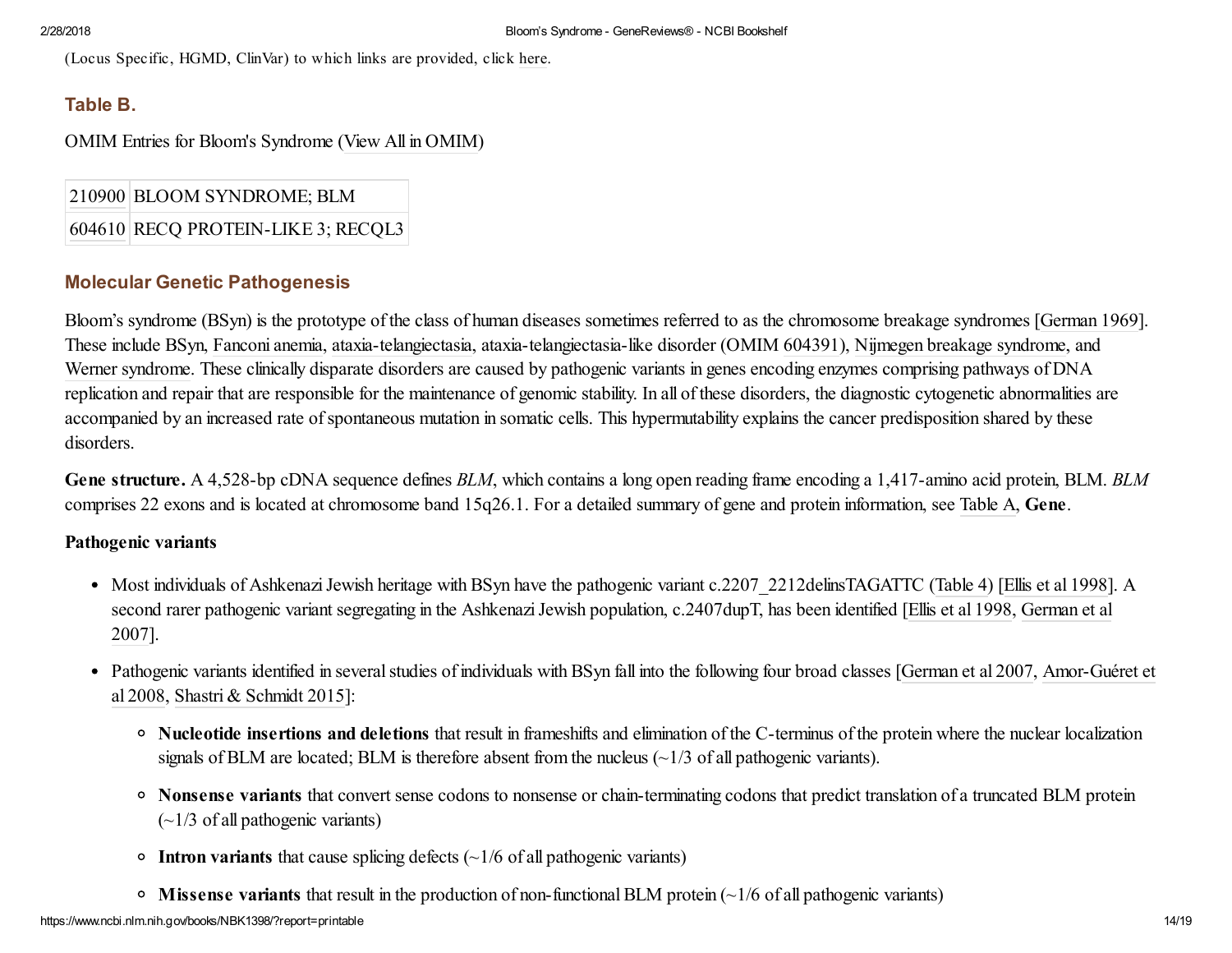(Locus Specific, HGMD, ClinVar) to which links are provided, click [here.](https://www.ncbi.nlm.nih.gov/books/n/gene/app1/)

# Table B.

OMIM Entries for Bloom's Syndrome (View All in [OMIM](https://www.ncbi.nlm.nih.gov/omim/210900,604610))

[210900](https://www.ncbi.nlm.nih.gov/omim/210900) BLOOM SYNDROME; BLM

[604610](https://www.ncbi.nlm.nih.gov/omim/604610) RECQ PROTEIN-LIKE 3; RECQL3

# Molecular Genetic Pathogenesis

Bloom's syndrome (BSyn) is the prototype of the class of human diseases sometimes referred to as the chromosome breakage syndromes [German 1969]. These include BSyn, [Fanconi](https://www.ncbi.nlm.nih.gov/books/n/gene/fa/) anemia, [ataxia-telangiectasia,](https://www.ncbi.nlm.nih.gov/books/n/gene/ataxia-telangiectas/) ataxia-telangiectasia-like disorder (OMIM [604391\)](http://omim.org/entry/604391), Nijmegen breakage [syndrome](https://www.ncbi.nlm.nih.gov/books/n/gene/nijmegen/), and Werner [syndrome.](https://www.ncbi.nlm.nih.gov/books/n/gene/werner/) These clinically disparate disorders are caused by pathogenic variants in genes encoding enzymes comprising pathways of DNA replication and repair that are responsible for the maintenance of genomic stability. In all of these disorders, the diagnostic cytogenetic abnormalities are accompanied by an increased rate of spontaneous mutation in somatic cells. This hypermutability explains the cancer predisposition shared by these disorders.

Gene structure. A 4,528-bp cDNA sequence defines *BLM*, which contains a long open reading frame encoding a 1,417-amino acid protein, BLM. *BLM* comprises 22 exons and is located at chromosome band 15q26.1. For a detailed summary of gene and protein information, see [Table](https://www.ncbi.nlm.nih.gov/books/NBK1398/#bloom.molgen.TA) A, Gene.

## Pathogenic variants

- Most individuals of Ashkenazi Jewish heritage with BSyn have the pathogenic variant c.2207 2212delinsTAGATTC [\(Table](https://www.ncbi.nlm.nih.gov/books/NBK1398/table/bloom.T.blm_pathogenic_variants_discusse/?report=objectonly) 4) [Ellis et al 1998]. A second rarer pathogenic variant segregating in the Ashkenazi Jewish population, c.2407dupT, has been identified [Ellis et al 1998, German et al 2007].
- Pathogenic variants identified in several studies of individuals with BSyn fall into the following four broad classes [German et al 2007, Amor-Guéret et al 2008, Shastri & Schmidt 2015]:
	- Nucleotide insertions and deletions that result in frameshifts and elimination of the C-terminus of the protein where the nuclear localization signals of BLM are located; BLM is therefore absent from the nucleus  $\left(\frac{1}{3}$  of all pathogenic variants).
	- Nonsense variants that convert sense codons to nonsense or chain-terminating codons that predict translation of a truncated BLM protein  $(-1/3 \text{ of all pathogenic variants})$
	- Intron variants that cause splicing defects  $\left(\frac{1}{6}$  of all pathogenic variants)
	- $\circ$  Missense variants that result in the production of non-functional BLM protein ( $\sim$ 1/6 of all pathogenic variants)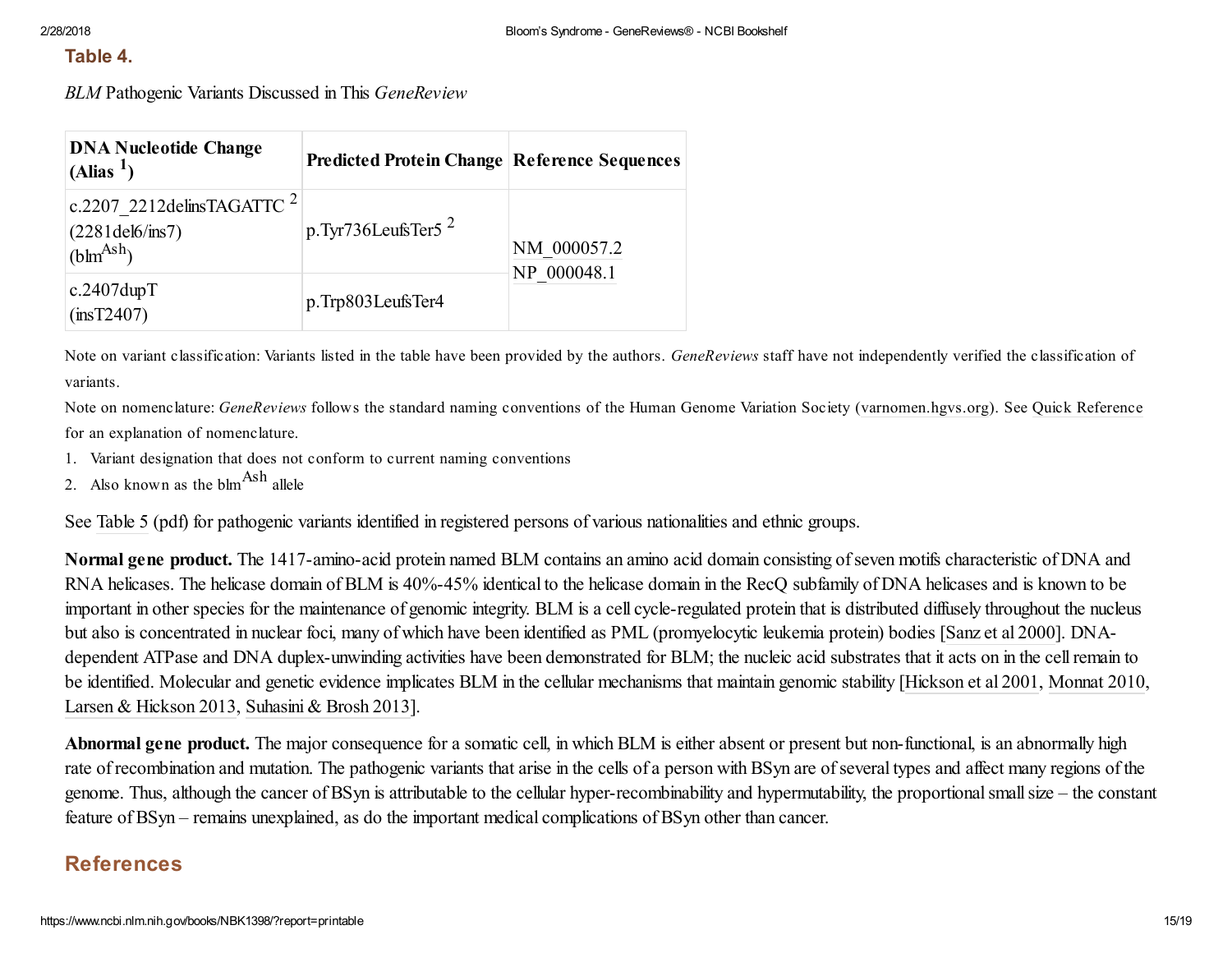### Table 4.

*BLM* Pathogenic Variants Discussed in This *GeneReview*

| <b>DNA Nucleotide Change</b><br>$(A$ lias <sup>1</sup> )                                                       | <b>Predicted Protein Change Reference Sequences</b> |                            |  |
|----------------------------------------------------------------------------------------------------------------|-----------------------------------------------------|----------------------------|--|
| c.2207 2212 delinsTAGATTC $^2$<br>$(2281\text{del}6/\text{ins}7)$<br>$\int_{0}^{\infty}$ (blm <sup>Ash</sup> ) | p.Tyr736LeufsTer5 $^2$                              | NM 000057.2<br>NP 000048.1 |  |
| $c.2407$ dup $T$<br>(insT2407)                                                                                 | p.Trp803LeufsTer4                                   |                            |  |

Note on variant classification: Variants listed in the table have been provided by the authors. *GeneReviews* staff have not independently verified the classification of variants.

Note on nomenclature: *GeneReviews* follows the standard naming conventions of the Human Genome Variation Society [\(varnomen.hgvs.org\)](http://varnomen.hgvs.org/). See Quick [Reference](https://www.ncbi.nlm.nih.gov/books/n/gene/app3/) for an explanation of nomenclature.

- 1. Variant designation that does not conform to current naming conventions
- 2. Also known as the  $blm<sup>Ash</sup>$  allele

See [Table](https://www.ncbi.nlm.nih.gov/books/NBK1398/bin/bloom-Table5.pdf) 5 (pdf) for pathogenic variants identified in registered persons of various nationalities and ethnic groups.

Normal gene product. The 1417-amino-acid protein named BLM contains an amino acid domain consisting of seven motifs characteristic of DNA and RNA helicases. The helicase domain of BLM is 40%-45% identical to the helicase domain in the RecQ subfamily of DNA helicases and is known to be important in other species for the maintenance of genomic integrity. BLM is a cell cycle-regulated protein that is distributed diffusely throughout the nucleus but also is concentrated in nuclear foci, many of which have been identified as PML (promyelocytic leukemia protein) bodies [Sanz et al 2000]. DNAdependent ATPase and DNA duplex-unwinding activities have been demonstrated for BLM; the nucleic acid substrates that it acts on in the cellremain to be identified. Molecular and genetic evidence implicates BLM in the cellular mechanisms that maintain genomic stability [Hickson et al 2001, Monnat 2010, Larsen & Hickson 2013, Suhasini & Brosh 2013].

Abnormal gene product. The major consequence for a somatic cell, in which BLM is either absent or present but non-functional, is an abnormally high rate of recombination and mutation. The pathogenic variants that arise in the cells of a person with BSyn are of several types and affect many regions of the genome. Thus, although the cancer of BSyn is attributable to the cellular hyper-recombinability and hypermutability, the proportionalsmallsize – the constant feature of BSyn – remains unexplained, as do the important medical complications of BSyn other than cancer.

# References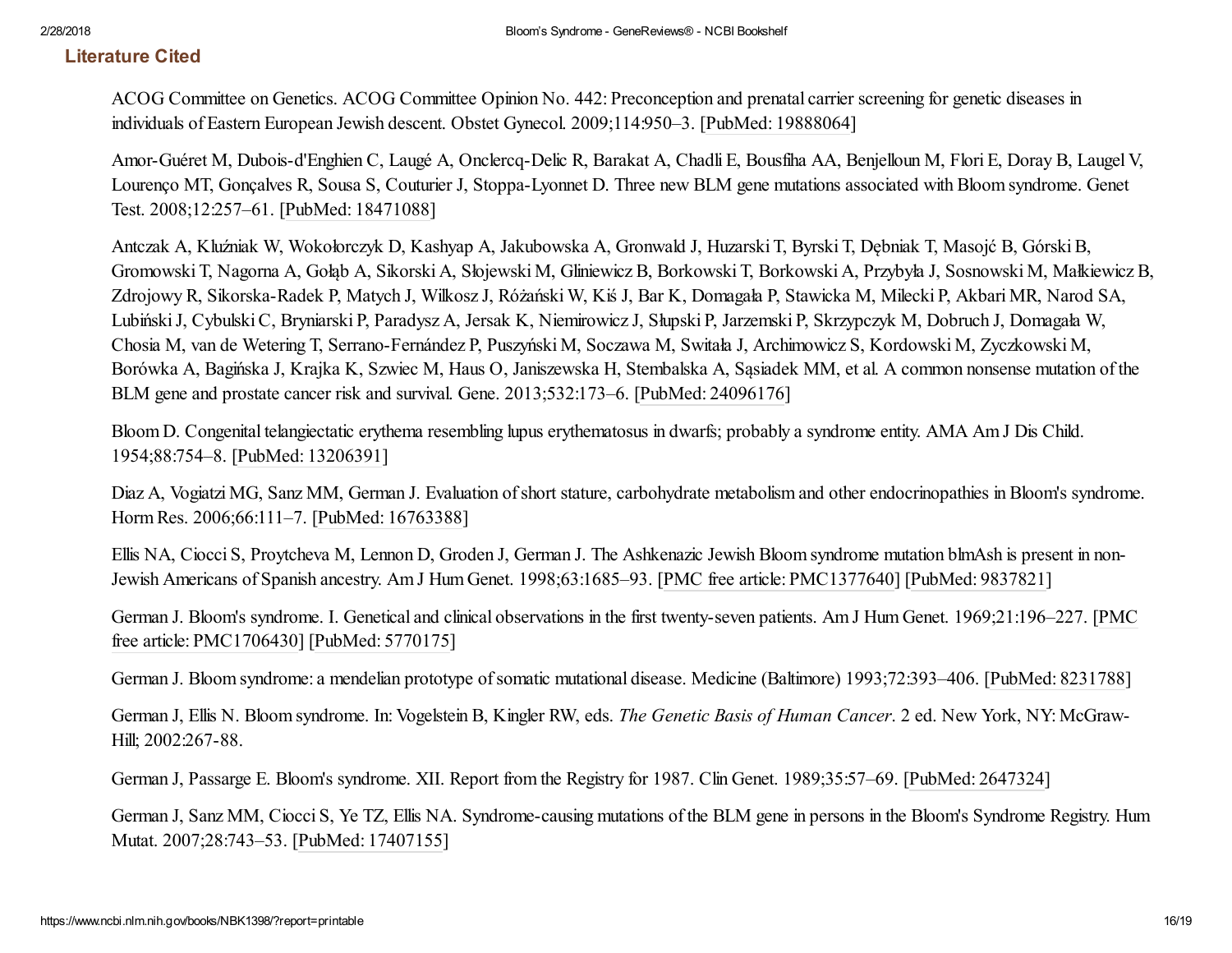# Literature Cited

ACOG Committee on Genetics. ACOG Committee Opinion No. 442: Preconception and prenatal carrier screening for genetic diseases in individuals of Eastern European Jewish descent. Obstet Gynecol. 2009;114:950–3. [PubMed: [19888064](https://www.ncbi.nlm.nih.gov/pubmed/19888064)]

Amor-Guéret M, Dubois-d'Enghien C, Laugé A, Onclercq-Delic R, Barakat A, Chadli E, Bousfiha AA, Benjelloun M, Flori E, Doray B, Laugel V, Lourenço MT, Gonçalves R, Sousa S, Couturier J, Stoppa-Lyonnet D. Three new BLM gene mutations associated with Bloom syndrome. Genet Test. 2008;12:257–61. [PubMed: [18471088](https://www.ncbi.nlm.nih.gov/pubmed/18471088)]

Antczak A, Kluźniak W, Wokołorczyk D, Kashyap A, Jakubowska A, Gronwald J, Huzarski T, Byrski T, Dębniak T, Masojć B, GórskiB, Gromowski T, Nagorna A, Gołąb A, Sikorski A, Słojewski M, Gliniewicz B, Borkowski T, Borkowski A, Przybyła J, Sosnowski M, Małkiewicz B, Zdrojowy R, Sikorska-Radek P, Matych J, Wilkosz J, Różański W, Kiś J, Bar K, Domagała P, Stawicka M, Milecki P, Akbari MR, Narod SA, LubińskiJ, CybulskiC, Bryniarski P, Paradysz A, Jersak K, Niemirowicz J, Słupski P, Jarzemski P, Skrzypczyk M, Dobruch J, Domagała W, Chosia M, van de Wetering T, Serrano-Fernández P, Puszyński M, Soczawa M, Switała J, Archimowicz S, Kordowski M, Zyczkowski M, Borówka A, Bagińska J, Krajka K, Szwiec M, Haus O, Janiszewska H, Stembalska A, Sąsiadek MM, et al. A common nonsense mutation of the BLM gene and prostate cancer risk and survival. Gene. 2013;532:173–6. [PubMed: [24096176](https://www.ncbi.nlm.nih.gov/pubmed/24096176)]

Bloom D. Congenital telangiectatic erythema resembling lupus erythematosus in dwarfs; probably a syndrome entity. AMA Am J Dis Child. 1954;88:754–8. [PubMed: [13206391\]](https://www.ncbi.nlm.nih.gov/pubmed/13206391)

Diaz A, Vogiatzi MG, Sanz MM, German J. Evaluation of short stature, carbohydrate metabolism and other endocrinopathies in Bloom's syndrome. Horm Res. 2006;66:111–7. [PubMed: [16763388\]](https://www.ncbi.nlm.nih.gov/pubmed/16763388)

Ellis NA, Ciocci S, Proytcheva M, Lennon D, Groden J, German J. The Ashkenazic Jewish Bloom syndrome mutation blmAsh is present in non-Jewish Americans of Spanish ancestry. Am J Hum Genet. 1998;63:1685–93. [PMC free article: [PMC1377640\]](https://www.ncbi.nlm.nih.gov/pmc/articles/PMC1377640/) [[PubMed:](https://www.ncbi.nlm.nih.gov/pubmed/9837821) 9837821]

German J. Bloom's syndrome. I. Genetical and clinical observations in the first twenty-seven patients. Am J Hum Genet. [1969;21:196–227.](https://www.ncbi.nlm.nih.gov/pmc/articles/PMC1706430/) [PMC free article: PMC1706430] [\[PubMed:](https://www.ncbi.nlm.nih.gov/pubmed/5770175) 5770175]

German J. Bloom syndrome: a mendelian prototype of somatic mutational disease. Medicine (Baltimore) 1993;72:393–406. [\[PubMed:](https://www.ncbi.nlm.nih.gov/pubmed/8231788) 8231788]

German J, Ellis N. Bloom syndrome. In: Vogelstein B, Kingler RW, eds. *The Genetic Basis of Human Cancer*. 2 ed. New York, NY: McGraw-Hill; 2002:267-88.

German J, Passarge E. Bloom's syndrome. XII. Report from the Registry for 1987. Clin Genet. 1989;35:57–69. [PubMed: [2647324\]](https://www.ncbi.nlm.nih.gov/pubmed/2647324)

German J, Sanz MM, Ciocci S, Ye TZ, Ellis NA. Syndrome-causing mutations of the BLM gene in persons in the Bloom's Syndrome Registry. Hum Mutat. 2007;28:743–53. [PubMed: [17407155\]](https://www.ncbi.nlm.nih.gov/pubmed/17407155)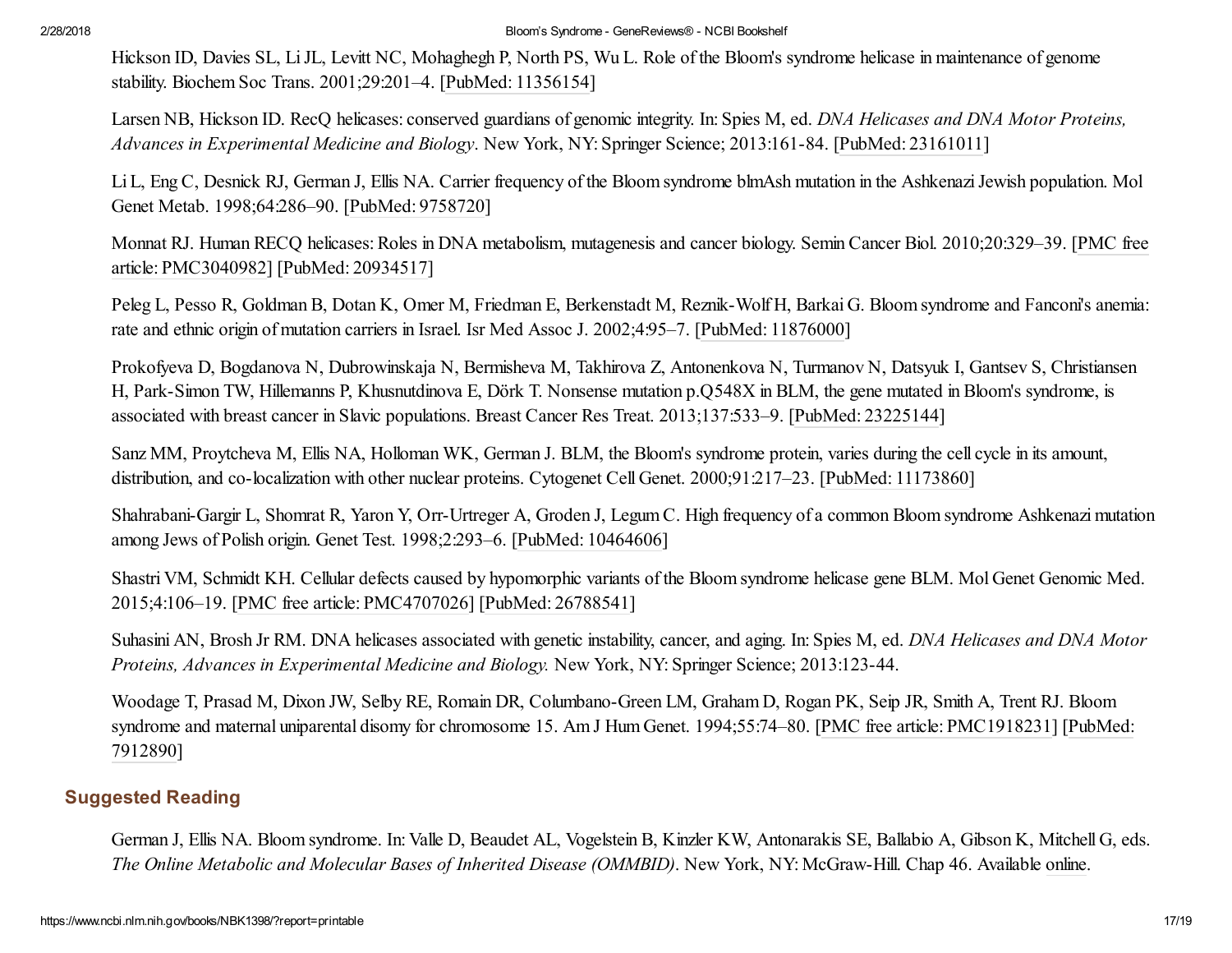Hickson ID, Davies SL, Li JL, Levitt NC, Mohaghegh P, North PS, Wu L. Role of the Bloom's syndrome helicase in maintenance of genome stability. Biochem Soc Trans. 2001;29:201–4. [PubMed: [11356154](https://www.ncbi.nlm.nih.gov/pubmed/11356154)]

Larsen NB, Hickson ID. RecQ helicases: conserved guardians of genomic integrity. In: Spies M, ed. *DNA Helicases and DNA Motor Proteins, Advances in Experimental Medicine and Biology*. New York, NY: Springer Science; 2013:161-84. [PubMed: [23161011](https://www.ncbi.nlm.nih.gov/pubmed/23161011)]

Li L, Eng C, Desnick RJ, German J, Ellis NA. Carrier frequency of the Bloom syndrome blmAsh mutation in the Ashkenazi Jewish population. Mol Genet Metab. 1998;64:286–90. [[PubMed:](https://www.ncbi.nlm.nih.gov/pubmed/9758720) 9758720]

Monnat RJ. Human RECQ helicases: Roles in DNA metabolism, mutagenesis and cancer biology. Semin Cancer Biol. [2010;20:329–39.](https://www.ncbi.nlm.nih.gov/pmc/articles/PMC3040982/) [PMC free article: PMC3040982] [PubMed: [20934517\]](https://www.ncbi.nlm.nih.gov/pubmed/20934517)

Peleg L, Pesso R, Goldman B, Dotan K, Omer M, Friedman E, Berkenstadt M, Reznik-Wolf H, Barkai G. Bloom syndrome and Fanconi's anemia: rate and ethnic origin of mutation carriers in Israel. Isr Med Assoc J. 2002;4:95–7. [PubMed: [11876000\]](https://www.ncbi.nlm.nih.gov/pubmed/11876000)

Prokofyeva D, Bogdanova N, Dubrowinskaja N, Bermisheva M, Takhirova Z, Antonenkova N, Turmanov N, Datsyuk I, Gantsev S, Christiansen H, Park-Simon TW, Hillemanns P, Khusnutdinova E, Dörk T. Nonsense mutation p.Q548X in BLM, the gene mutated in Bloom's syndrome, is associated with breast cancer in Slavic populations. Breast Cancer Res Treat. 2013;137:533–9. [PubMed: [23225144\]](https://www.ncbi.nlm.nih.gov/pubmed/23225144)

Sanz MM, Proytcheva M, Ellis NA, Holloman WK, German J. BLM, the Bloom's syndrome protein, varies during the cell cycle in its amount, distribution, and co-localization with other nuclear proteins. Cytogenet Cell Genet. 2000;91:217–23. [PubMed: [11173860\]](https://www.ncbi.nlm.nih.gov/pubmed/11173860)

Shahrabani-Gargir L, Shomrat R, Yaron Y, Orr-Urtreger A, Groden J, Legum C. High frequency of a common Bloom syndrome Ashkenazi mutation among Jews of Polish origin. Genet Test. 1998;2:293–6. [PubMed: [10464606\]](https://www.ncbi.nlm.nih.gov/pubmed/10464606)

Shastri VM, Schmidt KH. Cellular defects caused by hypomorphic variants of the Bloom syndrome helicase gene BLM. Mol Genet Genomic Med. 2015;4:106–19. [PMC free article: [PMC4707026](https://www.ncbi.nlm.nih.gov/pmc/articles/PMC4707026/)] [PubMed: [26788541\]](https://www.ncbi.nlm.nih.gov/pubmed/26788541)

Suhasini AN, Brosh Jr RM. DNA helicases associated with genetic instability, cancer, and aging. In: Spies M, ed. *DNA Helicases and DNA Motor Proteins, Advances in Experimental Medicine and Biology.* New York, NY: Springer Science; 2013:123-44.

Woodage T, Prasad M, Dixon JW, Selby RE, Romain DR, Columbano-Green LM, Graham D, Rogan PK, Seip JR, Smith A, Trent RJ. Bloom syndrome and maternal uniparental disomy for chromosome 15. Am J Hum Genet. [1994;55:74–80.](https://www.ncbi.nlm.nih.gov/pubmed/7912890) [PMC free article: [PMC1918231](https://www.ncbi.nlm.nih.gov/pmc/articles/PMC1918231/)] [PubMed: 7912890]

# Suggested Reading

German J, Ellis NA. Bloom syndrome. In: Valle D, Beaudet AL, Vogelstein B, Kinzler KW, Antonarakis SE, Ballabio A, Gibson K, Mitchell G, eds. *The Online Metabolic and Molecular Bases of Inherited Disease (OMMBID)*. New York, NY: McGraw-Hill. Chap 46. Available [online.](http://ommbid.mhmedical.com/)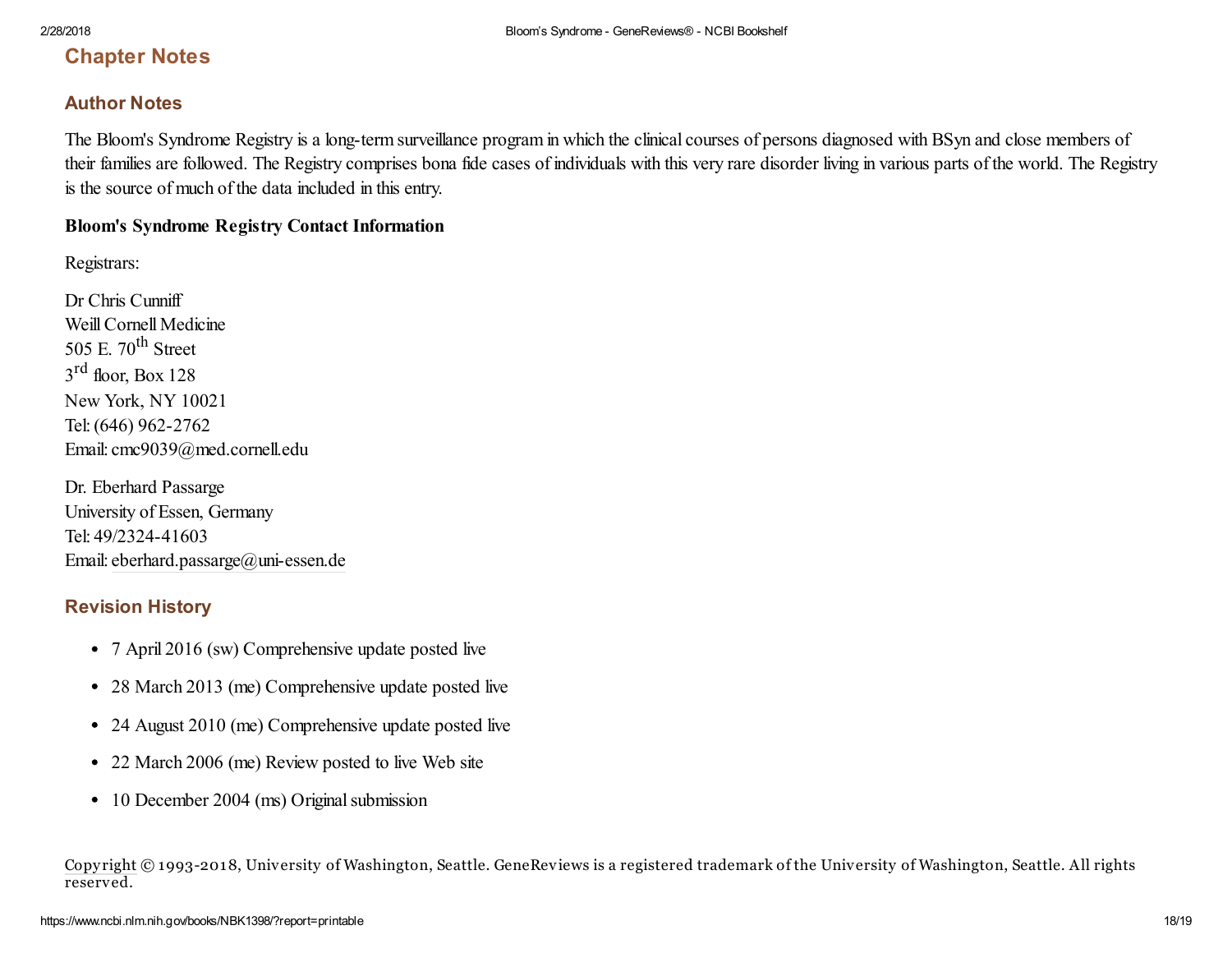# Chapter Notes

## Author Notes

The Bloom's Syndrome Registry is a long-term surveillance program in which the clinical courses of persons diagnosed with BSyn and close members of their families are followed. The Registry comprises bona fide cases of individuals with this very rare disorder living in various parts of the world. The Registry is the source of much of the data included in this entry.

#### Bloom's Syndrome Registry Contact Information

Registrars:

Dr Chris Cunniff Weill Cornell Medicine 505 E.  $70^{\text{th}}$  Street  $3<sup>rd</sup>$  floor, Box 128 New York, NY 10021 Tel:(646) 962-2762 Email: cmc9039@med.cornell.edu

Dr. Eberhard Passarge University of Essen, Germany Tel: 49/2324-41603 Email: [eberhard.passarge@uni-essen.de](mailto:dev@null)

## Revision History

- 7 April 2016 (sw) Comprehensive update posted live
- 28 March 2013 (me) Comprehensive update posted live
- 24 August 2010 (me) Comprehensive update posted live
- 22 March 2006 (me) Review posted to live Web site
- 10 December 2004 (ms) Original submission

[Copy](https://www.ncbi.nlm.nih.gov/books/about/copyright/) right © 1993-2018, University of Washington, Seattle. GeneReviews is a registered trademark of the University of Washington, Seattle. All rights reserved.